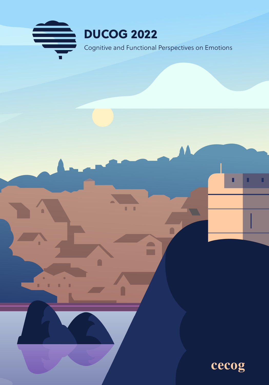

 $\mathbf{r}$ 

 $\blacksquare$ 

 $\hat{\mathbf{r}}$ 

r

H) H. п п



п

П

П

 $\blacksquare$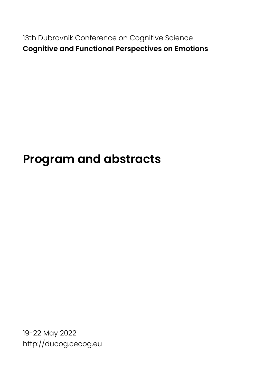13th Dubrovnik Conference on Cognitive Science **Cognitive and Functional Perspectives on Emotions**

## **Program and abstracts**

19-22 May 2022 http://ducog.cecog.eu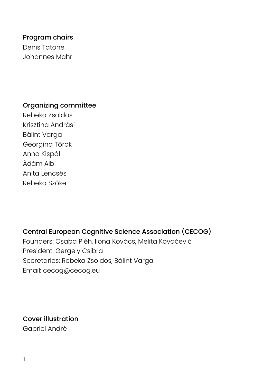Program chairs Denis Tatone Johannes Mahr

### Organizing committee

Rebeka Zsoldos Krisztina Andrási Bálint Varga Georgina Török Anna Kispál Ádám Albi Anita Lencsés Rebeka Szőke

### Central European Cognitive Science Association (CECOG)

Founders: Csaba Pléh, Ilona Kovács, Melita Kovačević President: Gergely Csibra Secretaries: Rebeka Zsoldos, Bálint Varga Email: cecog@cecog.eu

Cover illustration Gabriel André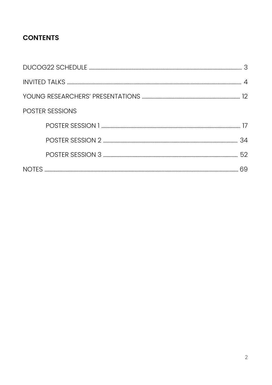## **CONTENTS**

| POSTER SESSIONS |  |  |
|-----------------|--|--|
|                 |  |  |
|                 |  |  |
|                 |  |  |
|                 |  |  |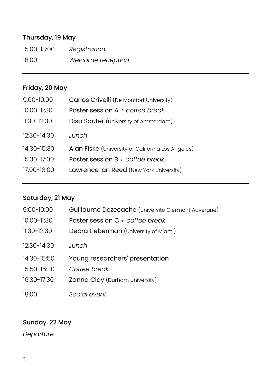## Thursday, 19 May

15:00-18:00 *Registration* 18:00 *Welcome reception*

## Friday, 20 May

| $9:00 - 10:00$ | Carlos Crivelli (De Montfort University)          |
|----------------|---------------------------------------------------|
| 10:00-11:30    | Poster session $A + \text{cofree}$ break          |
| $11:30-12:30$  | Disa Sauter (University of Amsterdam)             |
| 12:30-14:30    | Lunch                                             |
| 14:30-15:30    | Alan Fiske (University of California Los Angeles) |
| 15:30-17:00    | Poster session $B + \text{cofree break}$          |
| 17:00-18:00    | Lawrence Ian Reed (New York University)           |

## Saturday, 21 May

| $9:00 - 10:00$  | Guillaume Dezecache (Université Clermont Auvergne) |
|-----------------|----------------------------------------------------|
| $10:00 - 11:30$ | Poster session C + coffee break                    |
| $11:30-12:30$   | Debra Lieberman (University of Miami)              |
| $12:30-14:30$   | Tunch                                              |
| $14:30-15:50$   | Young researchers' presentation                    |
| 15:50-16:30     | Coffee break                                       |
| 16:30-17:30     | Zanna Clay (Durham University)                     |
| 18:00           | Social event                                       |

## Sunday, 22 May

*Departure*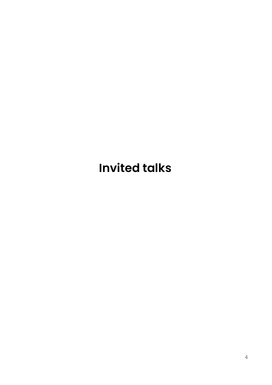## **Invited talks**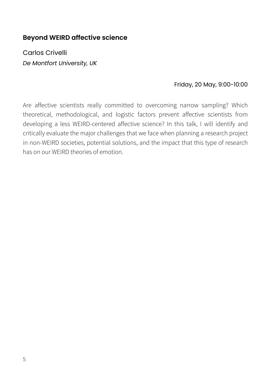## **Beyond WEIRD affective science**

Carlos Crivelli *De Montfort University, UK*

### Friday, 20 May, 9:00-10:00

Are affective scientists really committed to overcoming narrow sampling? Which theoretical, methodological, and logistic factors prevent affective scientists from developing a less WEIRD-centered affective science? In this talk, I will identify and critically evaluate the major challenges that we face when planning a research project in non-WEIRD societies, potential solutions, and the impact that this type of research has on our WEIRD theories of emotion.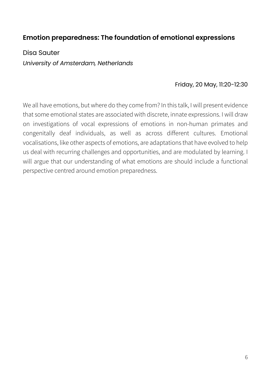## **Emotion preparedness: The foundation of emotional expressions**

Disa Sauter *University of Amsterdam, Netherlands*

### Friday, 20 May, 11:20-12:30

We all have emotions, but where do they come from? In this talk, I will present evidence that some emotional states are associated with discrete, innate expressions. I will draw on investigations of vocal expressions of emotions in non-human primates and congenitally deaf individuals, as well as across different cultures. Emotional vocalisations, like other aspects of emotions, are adaptations that have evolved to help us deal with recurring challenges and opportunities, and are modulated by learning. I will argue that our understanding of what emotions are should include a functional perspective centred around emotion preparedness.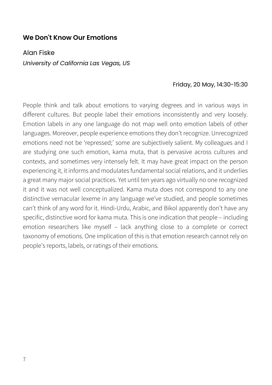### **We Don't Know Our Emotions**

Alan Fiske *University of California Las Vegas, US*

### Friday, 20 May, 14:30-15:30

People think and talk about emotions to varying degrees and in various ways in different cultures. But people label their emotions inconsistently and very loosely. Emotion labels in any one language do not map well onto emotion labels of other languages. Moreover, people experience emotions they don't recognize. Unrecognized emotions need not be 'repressed;' some are subjectively salient. My colleagues and I are studying one such emotion, kama muta, that is pervasive across cultures and contexts, and sometimes very intensely felt. It may have great impact on the person experiencing it, it informs and modulates fundamental social relations, and it underlies a great many major social practices. Yet until ten years ago virtually no one recognized it and it was not well conceptualized. Kama muta does not correspond to any one distinctive vernacular lexeme in any language we've studied, and people sometimes can't think of any word for it. Hindi-Urdu, Arabic, and Bikol apparently don't have any specific, distinctive word for kama muta. This is one indication that people – including emotion researchers like myself – lack anything close to a complete or correct taxonomy of emotions. One implication of this is that emotion research cannot rely on people's reports, labels, or ratings of their emotions.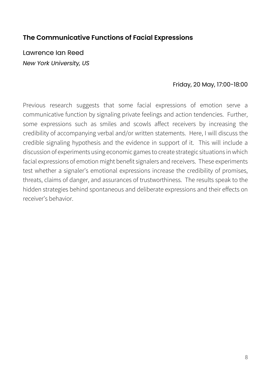## **The Communicative Functions of Facial Expressions**

Lawrence Ian Reed *New York University, US*

### Friday, 20 May, 17:00-18:00

Previous research suggests that some facial expressions of emotion serve a communicative function by signaling private feelings and action tendencies. Further, some expressions such as smiles and scowls affect receivers by increasing the credibility of accompanying verbal and/or written statements. Here, I will discuss the credible signaling hypothesis and the evidence in support of it. This will include a discussion of experiments using economic games to create strategic situations in which facial expressions of emotion might benefit signalers and receivers. These experiments test whether a signaler's emotional expressions increase the credibility of promises, threats, claims of danger, and assurances of trustworthiness. The results speak to the hidden strategies behind spontaneous and deliberate expressions and their effects on receiver's behavior.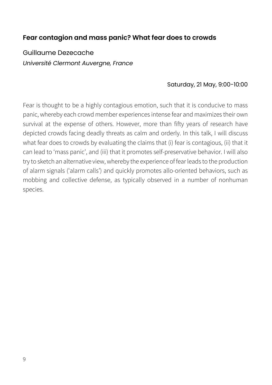### **Fear contagion and mass panic? What fear does to crowds**

Guillaume Dezecache *Université Clermont Auvergne, France*

#### Saturday, 21 May, 9:00-10:00

Fear is thought to be a highly contagious emotion, such that it is conducive to mass panic, whereby each crowd member experiences intense fear and maximizes their own survival at the expense of others. However, more than fifty years of research have depicted crowds facing deadly threats as calm and orderly. In this talk, I will discuss what fear does to crowds by evaluating the claims that (i) fear is contagious, (ii) that it can lead to 'mass panic', and (iii) that it promotes self-preservative behavior. I will also try to sketch an alternative view, whereby the experience of fear leads to the production of alarm signals ('alarm calls') and quickly promotes allo-oriented behaviors, such as mobbing and collective defense, as typically observed in a number of nonhuman species.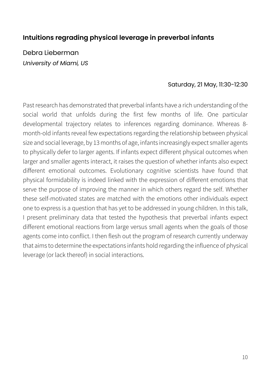## **Intuitions regrading physical leverage in preverbal infants**

Debra Lieberman *University of Miami, US*

#### Saturday, 21 May, 11:30-12:30

Past research has demonstrated that preverbal infants have a rich understanding of the social world that unfolds during the first few months of life. One particular developmental trajectory relates to inferences regarding dominance. Whereas 8 month-old infants reveal few expectations regarding the relationship between physical size and social leverage, by 13 months of age, infants increasingly expect smaller agents to physically defer to larger agents. If infants expect different physical outcomes when larger and smaller agents interact, it raises the question of whether infants also expect different emotional outcomes. Evolutionary cognitive scientists have found that physical formidability is indeed linked with the expression of different emotions that serve the purpose of improving the manner in which others regard the self. Whether these self-motivated states are matched with the emotions other individuals expect one to express is a question that has yet to be addressed in young children. In this talk, I present preliminary data that tested the hypothesis that preverbal infants expect different emotional reactions from large versus small agents when the goals of those agents come into conflict. I then flesh out the program of research currently underway that aims to determine the expectations infants hold regarding the influence of physical leverage (or lack thereof) in social interactions.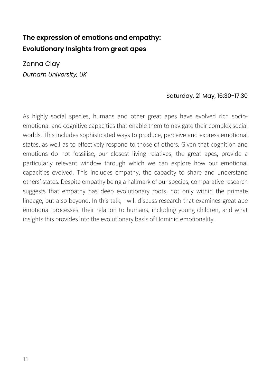## **The expression of emotions and empathy: Evolutionary Insights from great apes**

Zanna Clay *Durham University, UK*

### Saturday, 21 May, 16:30-17:30

As highly social species, humans and other great apes have evolved rich socioemotional and cognitive capacities that enable them to navigate their complex social worlds. This includes sophisticated ways to produce, perceive and express emotional states, as well as to effectively respond to those of others. Given that cognition and emotions do not fossilise, our closest living relatives, the great apes, provide a particularly relevant window through which we can explore how our emotional capacities evolved. This includes empathy, the capacity to share and understand others' states. Despite empathy being a hallmark of our species, comparative research suggests that empathy has deep evolutionary roots, not only within the primate lineage, but also beyond. In this talk, I will discuss research that examines great ape emotional processes, their relation to humans, including young children, and what insights this provides into the evolutionary basis of Hominid emotionality.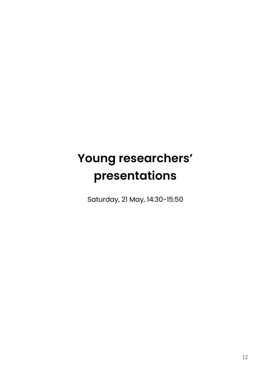# **Young researchers' presentations**

Saturday, 21 May, 14:30-15:50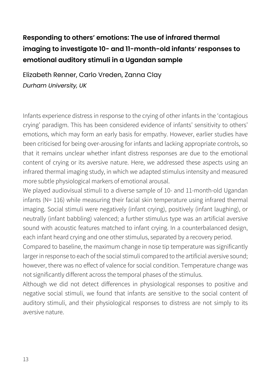## **Responding to others' emotions: The use of infrared thermal imaging to investigate 10- and 11-month-old infants' responses to emotional auditory stimuli in a Ugandan sample**

Elizabeth Renner, Carlo Vreden, Zanna Clay *Durham University, UK*

Infants experience distress in response to the crying of other infants in the 'contagious crying' paradigm. This has been considered evidence of infants' sensitivity to others' emotions, which may form an early basis for empathy. However, earlier studies have been criticised for being over-arousing for infants and lacking appropriate controls, so that it remains unclear whether infant distress responses are due to the emotional content of crying or its aversive nature. Here, we addressed these aspects using an infrared thermal imaging study, in which we adapted stimulus intensity and measured more subtle physiological markers of emotional arousal.

We played audiovisual stimuli to a diverse sample of 10- and 11-month-old Ugandan infants (N= 116) while measuring their facial skin temperature using infrared thermal imaging. Social stimuli were negatively (infant crying), positively (infant laughing), or neutrally (infant babbling) valenced; a further stimulus type was an artificial aversive sound with acoustic features matched to infant crying. In a counterbalanced design, each infant heard crying and one other stimulus, separated by a recovery period.

Compared to baseline, the maximum change in nose tip temperature was significantly larger in response to each of the social stimuli compared to the artificial aversive sound; however, there was no effect of valence for social condition. Temperature change was not significantly different across the temporal phases of the stimulus.

Although we did not detect differences in physiological responses to positive and negative social stimuli, we found that infants are sensitive to the social content of auditory stimuli, and their physiological responses to distress are not simply to its aversive nature.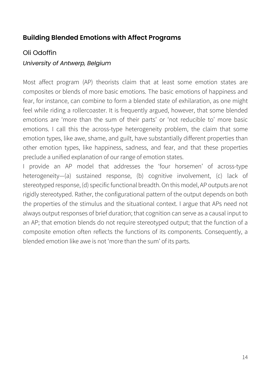## **Building Blended Emotions with Affect Programs**

## Oli Odoffin

### *University of Antwerp, Belgium*

Most affect program (AP) theorists claim that at least some emotion states are composites or blends of more basic emotions. The basic emotions of happiness and fear, for instance, can combine to form a blended state of exhilaration, as one might feel while riding a rollercoaster. It is frequently argued, however, that some blended emotions are 'more than the sum of their parts' or 'not reducible to' more basic emotions. I call this the across-type heterogeneity problem, the claim that some emotion types, like awe, shame, and guilt, have substantially different properties than other emotion types, like happiness, sadness, and fear, and that these properties preclude a unified explanation of our range of emotion states.

I provide an AP model that addresses the 'four horsemen' of across-type heterogeneity—(a) sustained response, (b) cognitive involvement, (c) lack of stereotyped response, (d) specific functional breadth. On this model, AP outputs are not rigidly stereotyped. Rather, the configurational pattern of the output depends on both the properties of the stimulus and the situational context. I argue that APs need not always output responses of brief duration; that cognition can serve as a causal input to an AP; that emotion blends do not require stereotyped output; that the function of a composite emotion often reflects the functions of its components. Consequently, a blended emotion like awe is not 'more than the sum' of its parts.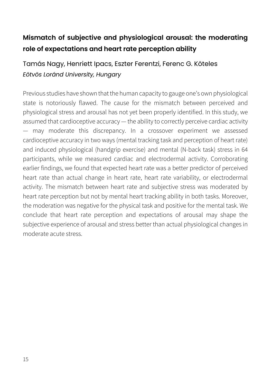## **Mismatch of subjective and physiological arousal: the moderating role of expectations and heart rate perception ability**

## Tamás Nagy, Henriett Ipacs, Eszter Ferentzi, Ferenc G. Köteles *Eötvös Loránd University, Hungary*

Previous studies have shown that the human capacity to gauge one's own physiological state is notoriously flawed. The cause for the mismatch between perceived and physiological stress and arousal has not yet been properly identified. In this study, we assumed that cardioceptive accuracy — the ability to correctly perceive cardiac activity — may moderate this discrepancy. In a crossover experiment we assessed cardioceptive accuracy in two ways (mental tracking task and perception of heart rate) and induced physiological (handgrip exercise) and mental (N-back task) stress in 64 participants, while we measured cardiac and electrodermal activity. Corroborating earlier findings, we found that expected heart rate was a better predictor of perceived heart rate than actual change in heart rate, heart rate variability, or electrodermal activity. The mismatch between heart rate and subjective stress was moderated by heart rate perception but not by mental heart tracking ability in both tasks. Moreover, the moderation was negative for the physical task and positive for the mental task. We conclude that heart rate perception and expectations of arousal may shape the subjective experience of arousal and stress better than actual physiological changes in moderate acute stress.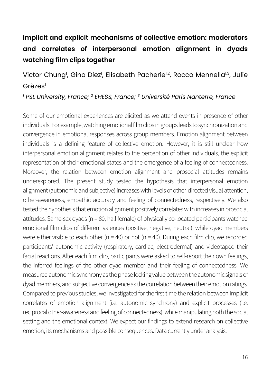## **Implicit and explicit mechanisms of collective emotion: moderators and correlates of interpersonal emotion alignment in dyads watching film clips together**

Victor Chung<sup>1</sup>, Gino Diez<sup>1</sup>, Elisabeth Pacherie<sup>1,2</sup>, Rocco Mennella<sup>1,3</sup>, Julie Grèzes<sup>1</sup>

*<sup>1</sup> PSL University, France; 2 EHESS, France; 3 Université Paris Nanterre, France*

Some of our emotional experiences are elicited as we attend events in presence of other individuals. For example, watching emotional film clips in groups leads to synchronization and convergence in emotional responses across group members. Emotion alignment between individuals is a defining feature of collective emotion. However, it is still unclear how interpersonal emotion alignment relates to the perception of other individuals, the explicit representation of their emotional states and the emergence of a feeling of connectedness. Moreover, the relation between emotion alignment and prosocial attitudes remains underexplored. The present study tested the hypothesis that interpersonal emotion alignment (autonomic and subjective) increases with levels of other-directed visual attention, other-awareness, empathic accuracy and feeling of connectedness, respectively. We also tested the hypothesis that emotion alignment positively correlates with increases in prosocial attitudes. Same-sex dyads (n = 80, half female) of physically co-located participants watched emotional film clips of different valences (positive, negative, neutral), while dyad members were either visible to each other ( $n = 40$ ) or not ( $n = 40$ ). During each film clip, we recorded participants' autonomic activity (respiratory, cardiac, electrodermal) and videotaped their facial reactions. After each film clip, participants were asked to self-report their own feelings, the inferred feelings of the other dyad member and their feeling of connectedness. We measured autonomic synchrony as the phase locking value between the autonomic signals of dyad members, and subjective convergence as the correlation between their emotion ratings. Compared to previous studies, we investigated for the first time the relation between implicit correlates of emotion alignment (i.e. autonomic synchrony) and explicit processes (i.e. reciprocal other-awareness and feeling of connectedness), while manipulating both the social setting and the emotional context. We expect our findings to extend research on collective emotion, its mechanisms and possible consequences. Data currently under analysis.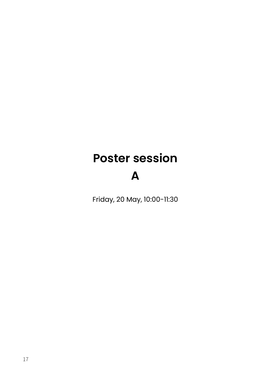# **Poster session**

## **A**

Friday, 20 May, 10:00-11:30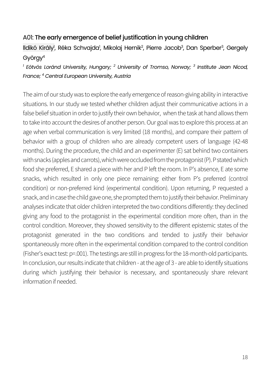### A01: The early emergence of belief justification in young children

lldikó Király<sup>i</sup>, Réka Schvajda<sup>i</sup>, Mikolaj Hernik<sup>2</sup>, Pierre Jacob<sup>3</sup>, Dan Sperber<sup>3</sup>, Gergely György4

*<sup>1</sup> Eötvös Loránd University, Hungary; <sup>2</sup> University of Tromso, Norway; <sup>3</sup> Institute Jean Nicod, France; 4 Central European University, Austria*

The aim of our study was to explore the early emergence of reason-giving ability in interactive situations. In our study we tested whether children adjust their communicative actions in a false belief situation in order to justify their own behavior, when the task at hand allows them to take into account the desires of another person. Our goal was to explore this process at an age when verbal communication is very limited (18 months), and compare their pattern of behavior with a group of children who are already competent users of language (42-48 months). During the procedure, the child and an experimenter (E) sat behind two containers with snacks (apples and carrots), which were occluded from the protagonist (P). P stated which food she preferred, E shared a piece with her and P left the room. In P's absence, E ate some snacks, which resulted in only one piece remaining: either from P's preferred (control condition) or non-preferred kind (experimental condition). Upon returning, P requested a snack, and in case the child gave one, she prompted them to justify their behavior. Preliminary analyses indicate that older children interpreted the two conditions differently: they declined giving any food to the protagonist in the experimental condition more often, than in the control condition. Moreover, they showed sensitivity to the different epistemic states of the protagonist generated in the two conditions and tended to justify their behavior spontaneously more often in the experimental condition compared to the control condition (Fisher's exact test: p=.001). The testings are still in progress for the 18-month-old participants. In conclusion, our results indicate that children - at the age of 3 - are able to identify situations during which justifying their behavior is necessary, and spontaneously share relevant information if needed.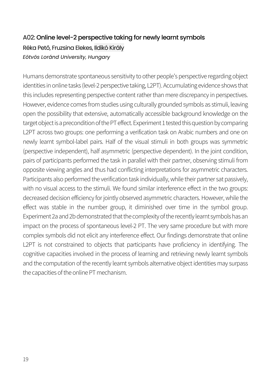## A02: Online level-2 perspective taking for newly learnt symbols Réka Pető, Fruzsina Elekes, Ildikó Király *Eötvös Loránd University, Hungary*

Humans demonstrate spontaneous sensitivity to other people's perspective regarding object identities in online tasks (level-2 perspective taking, L2PT). Accumulating evidence shows that this includes representing perspective content rather than mere discrepancy in perspectives. However, evidence comes from studies using culturally grounded symbols as stimuli, leaving open the possibility that extensive, automatically accessible background knowledge on the target object is a precondition of the PT effect. Experiment 1 tested this question by comparing L2PT across two groups: one performing a verification task on Arabic numbers and one on newly learnt symbol-label pairs. Half of the visual stimuli in both groups was symmetric (perspective independent), half asymmetric (perspective dependent). In the joint condition, pairs of participants performed the task in parallel with their partner, observing stimuli from opposite viewing angles and thus had conflicting interpretations for asymmetric characters. Participants also performed the verification task individually, while their partner sat passively, with no visual access to the stimuli. We found similar interference effect in the two groups: decreased decision efficiency for jointly observed asymmetric characters. However, while the effect was stable in the number group, it diminished over time in the symbol group. Experiment 2a and 2b demonstrated that the complexity of the recently learnt symbols has an impact on the process of spontaneous level-2 PT. The very same procedure but with more complex symbols did not elicit any interference effect. Our findings demonstrate that online L2PT is not constrained to objects that participants have proficiency in identifying. The cognitive capacities involved in the process of learning and retrieving newly learnt symbols and the computation of the recently learnt symbols alternative object identities may surpass the capacities of the online PT mechanism.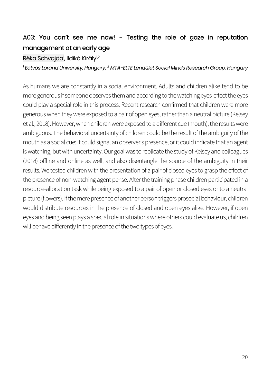## A03: You can't see me now! - Testing the role of gaze in reputation management at an early age

### Réka Schvajda<sup>,</sup> Ildikó Király<sup>ı,2</sup>

*1 Eötvös Loránd University, Hungary; 2 MTA-ELTE Lendület Social Minds Research Group, Hungary*

As humans we are constantly in a social environment. Adults and children alike tend to be more generous if someone observes them and according to the watching eyes-effect the eyes could play a special role in this process. Recent research confirmed that children were more generous when they were exposed to a pair of open eyes, rather than a neutral picture (Kelsey et al., 2018). However, when children were exposed to a different cue (mouth), the results were ambiguous. The behavioral uncertainty of children could be the result of the ambiguity of the mouth as a social cue: it could signal an observer's presence, or it could indicate that an agent is watching, but with uncertainty. Our goal was to replicate the study of Kelsey and colleagues (2018) offline and online as well, and also disentangle the source of the ambiguity in their results. We tested children with the presentation of a pair of closed eyes to grasp the effect of the presence of non-watching agent per se. After the training phase children participated in a resource-allocation task while being exposed to a pair of open or closed eyes or to a neutral picture (flowers). If the mere presence of another person triggers prosocial behaviour, children would distribute resources in the presence of closed and open eyes alike. However, if open eyes and being seen plays a special role in situations where others could evaluate us, children will behave differently in the presence of the two types of eyes.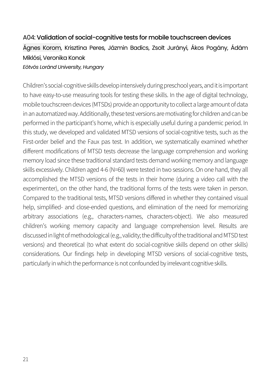## A04: Validation of social-cognitive tests for mobile touchscreen devices Ágnes Korom, Krisztina Peres, Jázmin Badics, Zsolt Jurányi, Ákos Pogány, Ádám Miklósi, Veronika Konok *Eötvös Loránd University, Hungary*

Children's social-cognitive skills develop intensively during preschool years, and it is important to have easy-to-use measuring tools for testing these skills. In the age of digital technology, mobile touchscreen devices (MTSDs) provide an opportunity to collect a large amount of data in an automatized way. Additionally, these test versions are motivating for children and can be performed in the participant's home, which is especially useful during a pandemic period. In this study, we developed and validated MTSD versions of social-cognitive tests, such as the First-order belief and the Faux pas test. In addition, we systematically examined whether different modifications of MTSD tests decrease the language comprehension and working memory load since these traditional standard tests demand working memory and language skills excessively. Children aged 4-6 (N=60) were tested in two sessions. On one hand, they all accomplished the MTSD versions of the tests in their home (during a video call with the experimenter), on the other hand, the traditional forms of the tests were taken in person. Compared to the traditional tests, MTSD versions differed in whether they contained visual help, simplified- and close-ended questions, and elimination of the need for memorizing arbitrary associations (e.g., characters-names, characters-object). We also measured children's working memory capacity and language comprehension level. Results are discussed in light of methodological (e.g., validity; the difficulty of the traditional and MTSD test versions) and theoretical (to what extent do social-cognitive skills depend on other skills) considerations. Our findings help in developing MTSD versions of social-cognitive tests, particularly in which the performance is not confounded by irrelevant cognitive skills.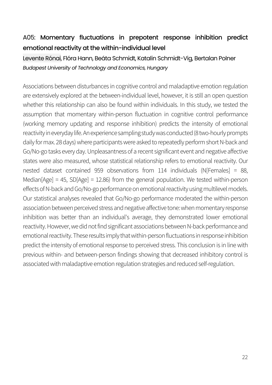## A05: Momentary fluctuations in prepotent response inhibition predict emotional reactivity at the within-individual level

### Levente Rónai, Flóra Hann, Beáta Schmidt, Katalin Schmidt-Vig, Bertalan Polner *Budapest University of Technology and Economics, Hungary*

Associations between disturbances in cognitive control and maladaptive emotion regulation are extensively explored at the between-individual level, however, it is still an open question whether this relationship can also be found within individuals. In this study, we tested the assumption that momentary within-person fluctuation in cognitive control performance (working memory updating and response inhibition) predicts the intensity of emotional reactivity ineveryday life. An experience sampling study was conducted (8 two-hourly prompts daily for max. 28 days) where participants were asked to repeatedly perform short N-back and Go/No-go tasks every day. Unpleasantness of a recent significant event and negative affective states were also measured, whose statistical relationship refers to emotional reactivity. Our nested dataset contained 959 observations from 114 individuals (N[Females] = 88, Median[Age] = 45, SD[Age] = 12.86) from the general population. We tested within-person effects of N-back and Go/No-go performance on emotional reactivity using multilevel models. Our statistical analyses revealed that Go/No-go performance moderated the within-person association between perceived stress and negative affective tone: when momentary response inhibition was better than an individual's average, they demonstrated lower emotional reactivity. However, we did not find significant associations between N-back performance and emotional reactivity. These results imply that within-person fluctuations in response inhibition predict the intensity of emotional response to perceived stress. This conclusion is in line with previous within- and between-person findings showing that decreased inhibitory control is associated with maladaptive emotion regulation strategies and reduced self-regulation.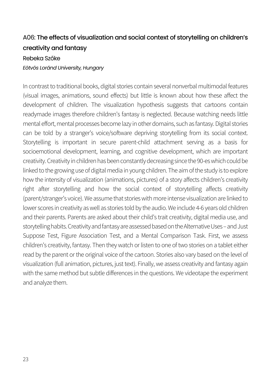## A06: The effects of visualization and social context of storytelling on children's creativity and fantasy

#### Rebeka Szőke

#### *Eötvös Loránd University, Hungary*

In contrast to traditional books, digital stories contain several nonverbal multimodal features (visual images, animations, sound effects) but little is known about how these affect the development of children. The visualization hypothesis suggests that cartoons contain readymade images therefore children's fantasy is neglected. Because watching needs little mental effort, mental processes become lazy in other domains, such as fantasy.Digital stories can be told by a stranger's voice/software depriving storytelling from its social context. Storytelling is important in secure parent-child attachment serving as a basis for socioemotional development, learning, and cognitive development, which are important creativity. Creativity in children has been constantly decreasing since the 90-es which could be linked to the growing use of digital media in young children. The aim of the study is to explore how the intensity of visualization (animations, pictures) of a story affects children's creativity right after storytelling and how the social context of storytelling affects creativity (parent/stranger's voice). We assume that stories with more intense visualization are linked to lower scores in creativity as well as stories told by the audio. We include 4-6 years old children and their parents. Parents are asked about their child's trait creativity, digital media use, and storytelling habits. Creativity and fantasy are assessed based on the Alternative Uses - and Just Suppose Test, Figure Association Test, and a Mental Comparison Task. First, we assess children's creativity, fantasy. Then they watch or listen to one of two stories on a tablet either read by the parent or the original voice of the cartoon. Stories also vary based on the level of visualization (full animation, pictures, just text). Finally, we assess creativity and fantasy again with the same method but subtle differences in the questions. We videotape the experiment and analyze them.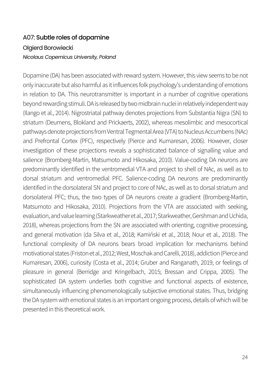## A07: Subtle roles of dopamine Olgierd Borowiecki *Nicolaus Copernicus University, Poland*

Dopamine (DA) has been associated with reward system. However, this view seems to be not only inaccurate but also harmful as it influences folk psychology's understanding of emotions in relation to DA. This neurotransmitter is important in a number of cognitive operations beyond rewarding stimuli. DA is released by two midbrain nuclei in relatively independent way (Ilango et al., 2014). Nigrostriatal pathway denotes projections from Substantia Nigra (SN) to striatum (Deumens, Blokland and Prickaerts, 2002), whereas mesolimbic and mesocortical pathways denote projections from Ventral Tegmental Area (VTA) to Nucleus Accumbens (NAc) and Prefrontal Cortex (PFC), respectively (Pierce and Kumaresan, 2006). However, closer investigation of these projections reveals a sophisticated balance of signalling value and salience (Bromberg-Martin, Matsumoto and Hikosaka, 2010). Value-coding DA neurons are predominantly identified in the ventromedial VTA and project to shell of NAc, as well as to dorsal striatum and ventromedial PFC. Salience-coding DA neurons are predominantly identified in the dorsolateral SN and project to core of NAc, as well as to dorsal striatum and dorsolateral PFC; thus, the two types of DA neurons create a gradient (Bromberg-Martin, Matsumoto and Hikosaka, 2010). Projections from the VTA are associated with seeking, evaluation,and value learning (Starkweather et al., 2017; Starkweather, Gershman and Uchida, 2018), whereas projections from the SN are associated with orienting, cognitive processing, and general motivation (da Silva et al., 2018; Kamiński et al., 2018; Nour et al., 2018). The functional complexity of DA neurons bears broad implication for mechanisms behind motivational states (Friston et al., 2012; West, Moschak and Carelli, 2018), addiction (Pierce and Kumaresan, 2006), curiosity (Costa et al., 2014; Gruber and Ranganath, 2019, or feelings of pleasure in general (Berridge and Kringelbach, 2015; Bressan and Crippa, 2005). The sophisticated DA system underlies both cognitive and functional aspects of existence, simultaneously influencing phenomenologically subjective emotional states. Thus, bridging the DA system with emotional states is an important ongoing process, details of which will be presented in this theoretical work.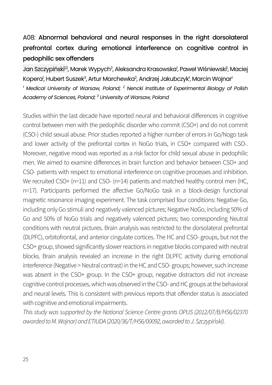## A08: Abnormal behavioral and neural responses in the right dorsolateral prefrontal cortex during emotional interference on cognitive control in pedophilic sex offenders

Jan Szczypiński<sup>12</sup>, Marek Wypych<sup>2</sup>, Aleksandra Krasowska<sup>1</sup>, Paweł Wiśniewski<sup>1</sup>, Maciej Kopera<sup>l</sup>, Hubert Suszek<sup>3</sup>, Artur Marchewka<sup>2</sup>, Andrzej Jakubczyk<sup>i</sup>, Marcin Wojnar<sup>ı</sup>

*<sup>1</sup> Medical University of Warsaw, Poland; <sup>2</sup> Nencki Institute of Experimental Biology of Polish Academy of Sciences, Poland; 3 University of Warsaw, Poland*

Studies within the last decade have reported neural and behavioral differences in cognitive control between men with the pedophilic disorder who commit (CSO+) and do not commit (CSO-) child sexual abuse. Prior studies reported a higher number of errors in Go/Nogo task and lower activity of the prefrontal cortex in NoGo trials, in CSO+ compared with CSO-. Moreover, negative mood was reported as a risk factor for child sexual abuse in pedophilic men. We aimed to examine differences in brain function and behavior between CSO+ and CSO- patients with respect to emotional interference on cognitive processes and inhibition. We recruited CSO+ (n=11) and CSO- (n=14) patients and matched healthy control men (HC, n=17). Participants performed the affective Go/NoGo task in a block-design functional magnetic resonance imaging experiment. The task comprised four conditions: Negative Go, including only Go stimuli and negatively valenced pictures; Negative NoGo, including 50% of Go and 50% of NoGo trials and negatively valenced pictures; two corresponding Neutral conditions with neutral pictures. Brain analysis was restricted to the dorsolateral prefrontal (DLPFC), orbitofrontal, and anterior cingulate cortices. The HC and CSO- groups, but not the CSO+ group, showed significantly slower reactions in negative blocks compared with neutral blocks. Brain analysis revealed an increase in the right DLPFC activity during emotional interference (Negative > Neutral contrast) in the HC and CSO- groups; however, such increase was absent in the CSO+ group. In the CSO+ group, negative distractors did not increase cognitive control processes, which was observed in the CSO- and HC groups at the behavioral and neural levels. This is consistent with previous reports that offender status is associated with cognitive and emotional impairments.

*This study was supported by the National Science Centre grants OPUS (2012/07/B/HS6/02370 awarded to M. Wojnar) and ETIUDA (2020/36/T/HS6/00092, awarded to J. Szczypiński).*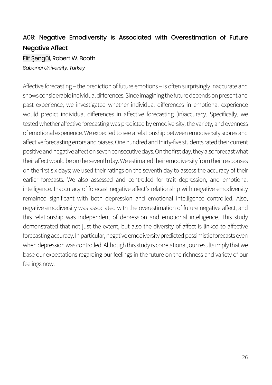## A09: Negative Emodiversity is Associated with Overestimation of Future Negative Affect

Elif Şengül, Robert W. Booth *Sabanci University, Turkey*

Affective forecasting – the prediction of future emotions – is often surprisingly inaccurate and shows considerable individual differences. Since imagining the future depends on present and past experience, we investigated whether individual differences in emotional experience would predict individual differences in affective forecasting (in)accuracy. Specifically, we tested whether affective forecasting was predicted by emodiversity, the variety, and evenness of emotional experience. We expected to see a relationship between emodiversity scores and affective forecasting errors and biases. One hundred and thirty-five students rated their current positive and negative affect on seven consecutive days. On the first day, they also forecast what their affect would be on the seventh day. We estimated their emodiversity from their responses on the first six days; we used their ratings on the seventh day to assess the accuracy of their earlier forecasts. We also assessed and controlled for trait depression, and emotional intelligence. Inaccuracy of forecast negative affect's relationship with negative emodiversity remained significant with both depression and emotional intelligence controlled. Also, negative emodiversity was associated with the overestimation of future negative affect, and this relationship was independent of depression and emotional intelligence. This study demonstrated that not just the extent, but also the diversity of affect is linked to affective forecasting accuracy. In particular, negative emodiversity predicted pessimistic forecasts even when depression was controlled. Although this study is correlational, our results imply that we base our expectations regarding our feelings in the future on the richness and variety of our feelings now.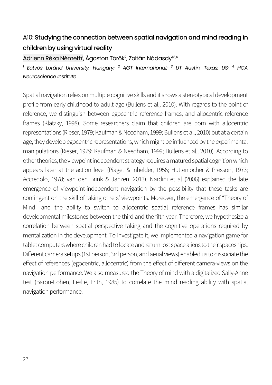## A10: Studying the connection between spatial navigation and mind reading in children by using virtual reality

Adrienn Réka Németh<sup>i</sup>, Ágoston Török<sup>2</sup>, Zoltán Nádasdy<sup>1,3,4</sup>

*<sup>1</sup> Eötvös Loránd University, Hungary; <sup>2</sup> AGT International; <sup>3</sup> UT Austin, Texas, US; <sup>4</sup> HCA Neuroscience Institute*

Spatial navigation relies on multiple cognitive skills and it shows a stereotypical development profile from early childhood to adult age (Bullens et al., 2010). With regards to the point of reference, we distinguish between egocentric reference frames, and allocentric reference frames (Klatzky, 1998). Some researchers claim that children are born with allocentric representations (Rieser, 1979; Kaufman & Needham, 1999; Bullens et al., 2010) but at a certain age, they develop egocentric representations, which might be influenced by the experimental manipulations (Rieser, 1979; Kaufman & Needham, 1999; Bullens et al., 2010). According to other theories, the viewpoint independent strategy requires a matured spatial cognition which appears later at the action level (Piaget & Inhelder, 1956; Huttenlocher & Presson, 1973; Accredolo, 1978; van den Brink & Janzen, 2013). Nardini et al (2006) explained the late emergence of viewpoint-independent navigation by the possibility that these tasks are contingent on the skill of taking others' viewpoints. Moreover, the emergence of "Theory of Mind" and the ability to switch to allocentric spatial reference frames has similar developmental milestones between the third and the fifth year. Therefore, we hypothesize a correlation between spatial perspective taking and the cognitive operations required by mentalization in the development. To investigate it, we implemented a navigation game for tablet computers where children had to locate and return lost space aliens to their spaceships. Different camera setups (1st person, 3rd person, and aerial views) enabled us to dissociate the effect of references (egocentric, allocentric) from the effect of different camera-views on the navigation performance. We also measured the Theory of mind with a digitalized Sally-Anne test (Baron-Cohen, Leslie, Frith, 1985) to correlate the mind reading ability with spatial navigation performance.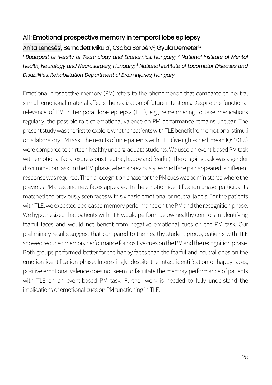### A11: Emotional prospective memory in temporal lobe epilepsy

### Anita Lencsés<sup>)</sup>, Bernadett Mikula<sup>)</sup>, Csaba Borbély<sup>2</sup>, Gyula Demeter<sup>1,3</sup>

*<sup>1</sup> Budapest University of Technology and Economics, Hungary; <sup>2</sup> National Institute of Mental Health, Neurology and Neurosurgery, Hungary; 3 National Institute of Locomotor Diseases and Disabilities, Rehabilitation Department of Brain Injuries, Hungary*

Emotional prospective memory (PM) refers to the phenomenon that compared to neutral stimuli emotional material affects the realization of future intentions. Despite the functional relevance of PM in temporal lobe epilepsy (TLE), e.g., remembering to take medications regularly, the possible role of emotional valence on PM performance remains unclear. The present study was the first to explore whether patients with TLE benefit from emotional stimuli on a laboratory PM task. The results of nine patients with TLE (five right-sided, mean IQ: 101.5) were compared to thirteen healthy undergraduate students. We used an event-based PM task with emotional facial expressions (neutral, happy and fearful). The ongoing task was a gender discrimination task. In the PM phase, when a previously learned face pair appeared, a different response was required. Then a recognition phase for the PM cues was administered where the previous PM cues and new faces appeared. In the emotion identification phase, participants matched the previously seen faces with six basic emotional or neutral labels. For the patients with TLE, we expected decreased memory performance on the PM and the recognition phase. We hypothesized that patients with TLE would perform below healthy controls in identifying fearful faces and would not benefit from negative emotional cues on the PM task. Our preliminary results suggest that compared to the healthy student group, patients with TLE showed reduced memory performance for positive cues on the PM and the recognition phase. Both groups performed better for the happy faces than the fearful and neutral ones on the emotion identification phase. Interestingly, despite the intact identification of happy faces, positive emotional valence does not seem to facilitate the memory performance of patients with TLE on an event-based PM task. Further work is needed to fully understand the implications of emotional cues on PM functioning in TLE.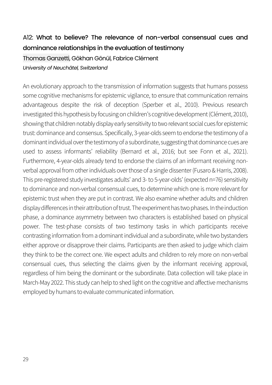## A12: What to believe? The relevance of non-verbal consensual cues and dominance relationships in the evaluation of testimony

### Thomas Ganzetti, Gökhan Gönül, Fabrice Clément *University of Neuchâtel, Switzerland*

An evolutionary approach to the transmission of information suggests that humans possess some cognitive mechanisms for epistemic vigilance, to ensure that communication remains advantageous despite the risk of deception (Sperber et al., 2010). Previous research investigated this hypothesis by focusing on children's cognitive development (Clément, 2010), showing that children notably display early sensitivity to two relevant social cues for epistemic trust: dominance and consensus. Specifically, 3-year-olds seem to endorse the testimony of a dominant individual over the testimony of a subordinate, suggesting that dominance cues are used to assess informants' reliability (Bernard et al., 2016; but see Fonn et al., 2021). Furthermore, 4-year-olds already tend to endorse the claims of an informant receiving nonverbal approval from other individuals over those of a single dissenter (Fusaro & Harris, 2008). This pre-registered study investigates adults' and 3-to 5-year-olds' (expected n=76) sensitivity to dominance and non-verbal consensual cues, to determine which one is more relevant for epistemic trust when they are put in contrast. We also examine whether adults and children display differences in their attribution of trust.The experiment has two phases. In the induction phase, a dominance asymmetry between two characters is established based on physical power. The test-phase consists of two testimony tasks in which participants receive contrasting information from a dominant individual and a subordinate, while two bystanders either approve or disapprove their claims. Participants are then asked to judge which claim they think to be the correct one. We expect adults and children to rely more on non-verbal consensual cues, thus selecting the claims given by the informant receiving approval, regardless of him being the dominant or the subordinate. Data collection will take place in March-May 2022. This study can help to shed light on the cognitive and affective mechanisms employed by humans to evaluate communicated information.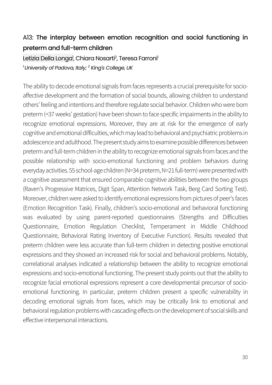## A13: The interplay between emotion recognition and social functioning in preterm and full-term children

### Letizia Della Longa<sup>i</sup>, Chiara Nosarti<sup>2</sup>, Teresa Farroni<sup>1</sup> *1 University of Padova, Italy; 2 King's College, UK*

The ability to decode emotional signals from faces represents a crucial prerequisite for socioaffective development and the formation of social bounds, allowing children to understand others' feeling and intentions and therefore regulate social behavior. Children who were born preterm (<37 weeks' gestation) have been shown to face specific impairments in the ability to recognize emotional expressions. Moreover, they are at risk for the emergence of early cognitive and emotional difficulties, which may leadto behavioral and psychiatric problems in adolescence and adulthood. The present study aims to examine possible differences between preterm and full-term children in the ability to recognize emotional signals from faces and the possible relationship with socio-emotional functioning and problem behaviors during everyday activities. 55 school-age children (N=34 preterm, N=21 full-term) were presented with a cognitive assessment that ensured comparable cognitive abilities between the two groups (Raven's Progressive Matrices, Digit Span, Attention Network Task, Berg Card Sorting Test). Moreover, children were asked to identify emotional expressions from pictures of peer's faces (Emotion Recognition Task). Finally, children's socio-emotional and behavioral functioning was evaluated by using parent-reported questionnaires (Strengths and Difficulties Questionnaire, Emotion Regulation Checklist, Temperament in Middle Childhood Questionnaire, Behavioral Rating Inventory of Executive Function). Results revealed that preterm children were less accurate than full-term children in detecting positive emotional expressions and they showed an increased risk for social and behavioral problems. Notably, correlational analyses indicated a relationship between the ability to recognize emotional expressions and socio-emotional functioning. The present study points out that the ability to recognize facial emotional expressions represent a core developmental precursor of socioemotional functioning. In particular, preterm children present a specific vulnerability in decoding emotional signals from faces, which may be critically link to emotional and behavioral regulation problems with cascading effects on the development of social skills and effective interpersonal interactions.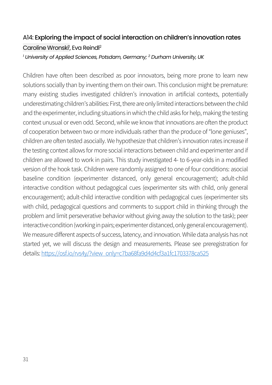## A14: Exploring the impact of social interaction on children's innovation rates Caroline Wronski<sup>1</sup>, Eva Reindl<sup>2</sup>

*<sup>1</sup> University of Applied Sciences, Potsdam, Germany; 2 Durham University, UK*

Children have often been described as poor innovators, being more prone to learn new solutions socially than by inventing them on their own. This conclusion might be premature: many existing studies investigated children's innovation in artificial contexts, potentially underestimating children's abilities: First, there are only limited interactions between the child and the experimenter, including situations in which the child asks for help, making the testing context unusual or even odd. Second, while we know that innovations are often the product of cooperation between two or more individuals rather than the produce of "lone geniuses", children are often tested asocially. We hypothesize that children's innovation rates increase if the testing context allows for more social interactions between child and experimenter and if children are allowed to work in pairs. This study investigated 4- to 6-year-olds in a modified version of the hook task. Children were randomly assigned to one of four conditions: asocial baseline condition (experimenter distanced, only general encouragement); adult-child interactive condition without pedagogical cues (experimenter sits with child, only general encouragement); adult-child interactive condition with pedagogical cues (experimenter sits with child, pedagogical questions and comments to support child in thinking through the problem and limit perseverative behavior without giving away the solution to the task); peer interactive condition (working in pairs; experimenter distanced, only general encouragement). We measure different aspects of success, latency, and innovation. While data analysis has not started yet, we will discuss the design and measurements. Please see preregistration for details: [https://osf.io/rvs4y/?view\\_only=c7ba68fa9d4d4cf3a1fc1703378ca525](https://osf.io/rvs4y/?view_only=c7ba68fa9d4d4cf3a1fc1703378ca525)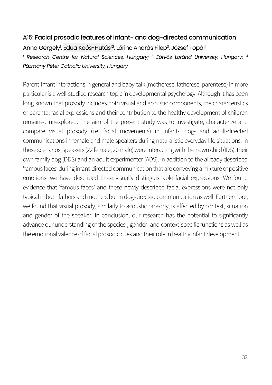### A15: Facial prosodic features of infant- and dog-directed communication

Anna Gergely<sup>1</sup>, Édua Koós-Hutás<sup>12</sup>, Lőrinc András Filep<sup>3</sup>, József Topál<sup>1</sup>

*<sup>1</sup> Research Centre for Natural Sciences, Hungary; <sup>3</sup> Eötvös Loránd University, Hungary; <sup>3</sup> Pázmány Péter Catholic University, Hungary*

Parent-infant interactions in general and baby-talk (motherese, fatherese, parentese) in more particular is a well-studied research topic in developmental psychology. Although it has been long known that prosody includes both visual and acoustic components, the characteristics of parental facial expressions and their contribution to the healthy development of children remained unexplored. The aim of the present study was to investigate, characterize and compare visual prosody (i.e. facial movements) in infant-, dog- and adult-directed communications in female and male speakers during naturalistic everyday life situations. In these scenarios, speakers (22 female, 20 male) were interacting with their own child (IDS), their own family dog (DDS) and an adult experimenter (ADS). In addition to the already described 'famous faces' during infant-directed communication that are conveying a mixture of positive emotions, we have described three visually distinguishable facial expressions. We found evidence that 'famous faces' and these newly described facial expressions were not only typical in both fathers and mothers but in dog-directed communication as well. Furthermore, we found that visual prosody, similarly to acoustic prosody, is affected by context, situation and gender of the speaker. In conclusion, our research has the potential to significantly advance our understanding of the species-, gender- and context-specific functions as well as the emotional valence of facial prosodic cues and their role in healthy infant development.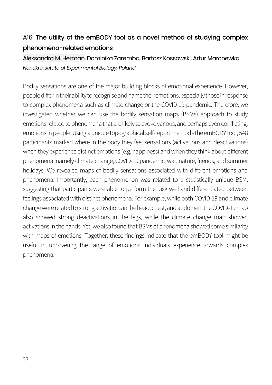## A16: The utility of the emBODY tool as a novel method of studying complex phenomena-related emotions

### Aleksandra M. Herman, Dominika Zaremba, Bartosz Kossowski, Artur Marchewka *Nencki Institute of Experimental Biology, Poland*

Bodily sensations are one of the major building blocks of emotional experience. However, people differ in their ability to recognise and name their emotions, especially those in response to complex phenomena such as climate change or the COVID-19 pandemic. Therefore, we investigated whether we can use the bodily sensation maps (BSMs) approach to study emotions related to phenomena that are likely to evoke various, and perhaps even conflicting, emotions in people. Using a unique topographical self-report method - the emBODY tool, 548 participants marked where in the body they feel sensations (activations and deactivations) when they experience distinct emotions (e.g. happiness) and when they think about different phenomena, namely climate change, COVID-19 pandemic, war, nature, friends, and summer holidays. We revealed maps of bodily sensations associated with different emotions and phenomena. Importantly, each phenomenon was related to a statistically unique BSM, suggesting that participants were able to perform the task well and differentiated between feelings associated with distinct phenomena. For example, while both COVID-19 and climate change were related to strong activations in the head, chest, and abdomen, the COVID-19 map also showed strong deactivations in the legs, while the climate change map showed activations in the hands. Yet, we also found that BSMs of phenomena showed some similarity with maps of emotions. Together, these findings indicate that the emBODY tool might be useful in uncovering the range of emotions individuals experience towards complex phenomena.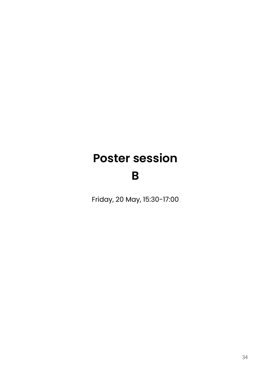# **Poster session**

## **B**

Friday, 20 May, 15:30-17:00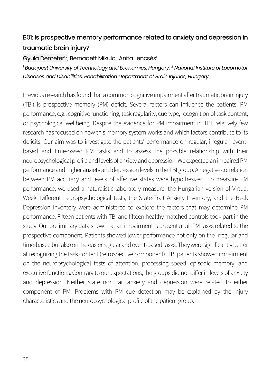#### B01: Is prospective memory performance related to anxiety and depression in traumatic brain injury?

Gyula Demeter<sup>ı,2</sup>, Bernadett Mikula<sup>ı</sup>, Anita Lencsés<sup>ı</sup>

*<sup>1</sup> Budapest University of Technology and Economics, Hungary; 2 National Institute of Locomotor Diseases and Disabilities, Rehabilitation Department of Brain Injuries, Hungary*

Previous research has found that a common cognitive impairment after traumatic brain injury (TBI) is prospective memory (PM) deficit. Several factors can influence the patients' PM performance, e.g., cognitive functioning, task regularity, cue type, recognition of task content, or psychological wellbeing. Despite the evidence for PM impairment in TBI, relatively few research has focused on how this memory system works and which factors contribute to its deficits. Our aim was to investigate the patients' performance on regular, irregular, eventbased and time-based PM tasks and to assess the possible relationship with their neuropsychological profile and levels of anxiety and depression. We expected an impaired PM performance and higher anxiety and depression levels in the TBI group. A negative correlation between PM accuracy and levels of affective states were hypothesized. To measure PM performance, we used a naturalistic laboratory measure, the Hungarian version of Virtual Week. Different neuropsychological tests, the State-Trait Anxiety Inventory, and the Beck Depression Inventory were administered to explore the factors that may determine PM performance. Fifteen patients with TBI and fifteen healthy matched controls took part in the study. Our preliminary data show that an impairment is present at all PM tasks related to the prospective component. Patients showed lower performance not only on the irregular and time-based but also on the easier regular and event-based tasks. They were significantly better at recognizing the task content (retrospective component). TBI patients showed impairment on the neuropsychological tests of attention, processing speed, episodic memory, and executive functions. Contrary to our expectations, the groups did not differ in levels of anxiety and depression. Neither state nor trait anxiety and depression were related to either component of PM. Problems with PM cue detection may be explained by the injury characteristics and the neuropsychological profile of the patient group.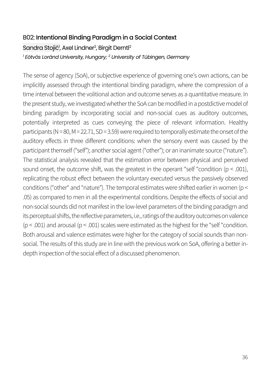#### B02: Intentional Binding Paradigm in a Social Context

Sandra Stojić<sup>ı</sup>, Axel Lindner<sup>2</sup>, Birgit Derntl<sup>2</sup> *<sup>1</sup> Eötvös Loránd University, Hungary; 2 University of Tübingen, Germany*

The sense of agency (SoA), or subjective experience of governing one's own actions, can be implicitly assessed through the intentional binding paradigm, where the compression of a time interval between the volitional action and outcome serves as a quantitative measure. In the present study, we investigated whether the SoA can be modified in a postdictive model of binding paradigm by incorporating social and non-social cues as auditory outcomes, potentially interpreted as cues conveying the piece of relevant information. Healthy participants (N = 80, M = 22.71, SD = 3.59) were required to temporally estimate the onset of the auditory effects in three different conditions: when the sensory event was caused by the participant themself ("self"); another social agent ("other"); or an inanimate source ("nature"). The statistical analysis revealed that the estimation error between physical and perceived sound onset, the outcome shift, was the greatest in the operant "self "condition ( $p < .001$ ), replicating the robust effect between the voluntary executed versus the passively observed conditions ("other" and "nature"). The temporal estimates were shifted earlier in women (p < .05) as compared to men in all the experimental conditions. Despite the effects of social and non-social sounds did not manifest in the low-level parameters of the binding paradigm and its perceptual shifts, the reflective parameters, i.e., ratings of the auditory outcomes on valence ( $p < .001$ ) and arousal ( $p < .001$ ) scales were estimated as the highest for the "self "condition. Both arousal and valence estimates were higher for the category of social sounds than nonsocial. The results of this study are in line with the previous work on SoA, offering a better indepth inspection of the social effect of a discussed phenomenon.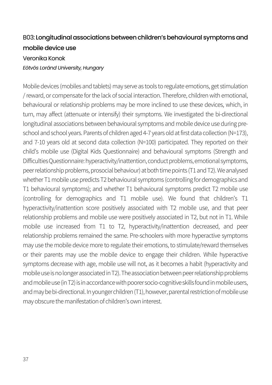#### B03: Longitudinal associations between children's behavioural symptoms and mobile device use

#### Veronika Konok *Eötvös Loránd University, Hungary*

Mobile devices (mobiles and tablets) may serve as tools to regulate emotions, get stimulation / reward, or compensate for the lack of social interaction. Therefore, children with emotional, behavioural or relationship problems may be more inclined to use these devices, which, in turn, may affect (attenuate or intensify) their symptoms. We investigated the bi-directional longitudinal associations between behavioural symptoms and mobile device use during preschool and school years. Parents of children aged 4-7 years old at first data collection (N=173), and 7-10 years old at second data collection (N=100) participated. They reported on their child's mobile use (Digital Kids Questionnaire) and behavioural symptoms (Strength and Difficulties Questionnaire: hyperactivity/inattention, conduct problems, emotional symptoms, peer relationship problems, prosocial behaviour) at both time points (T1 and T2). We analysed whether T1 mobile use predicts T2 behavioural symptoms (controlling for demographics and T1 behavioural symptoms); and whether T1 behavioural symptoms predict T2 mobile use (controlling for demographics and T1 mobile use). We found that children's T1 hyperactivity/inattention score positively associated with T2 mobile use, and that peer relationship problems and mobile use were positively associated in T2, but not in T1. While mobile use increased from T1 to T2, hyperactivity/inattention decreased, and peer relationship problems remained the same. Pre-schoolers with more hyperactive symptoms may use the mobile device more to regulate their emotions, to stimulate/reward themselves or their parents may use the mobile device to engage their children. While hyperactive symptoms decrease with age, mobile use will not, as it becomes a habit (hyperactivity and mobile use is no longer associated in T2). The association between peer relationship problems andmobile use (in T2) is in accordance with poorer socio-cognitive skills found in mobile users, and may be bi-directional. In younger children (T1), however, parental restriction of mobile use may obscure the manifestation of children's own interest.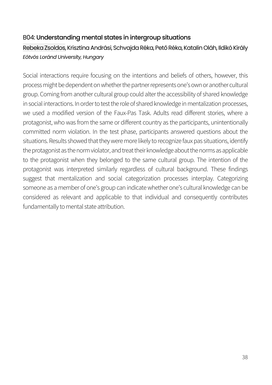#### B04: Understanding mental states in intergroup situations

#### Rebeka Zsoldos, Krisztina Andrási, Schvajda Réka, Pető Réka, Katalin Oláh, Ildikó Király *Eötvös Loránd University, Hungary*

Social interactions require focusing on the intentions and beliefs of others, however, this process might be dependent on whether the partner represents one's own or another cultural group. Coming from another cultural group could alter the accessibility of shared knowledge in social interactions. In order to test the role of shared knowledge in mentalization processes, we used a modified version of the Faux-Pas Task. Adults read different stories, where a protagonist, who was from the same or different country as the participants, unintentionally committed norm violation. In the test phase, participants answered questions about the situations. Results showed that they were more likely to recognize faux pas situations, identify the protagonist as the norm violator, and treat their knowledge about the norms as applicable to the protagonist when they belonged to the same cultural group. The intention of the protagonist was interpreted similarly regardless of cultural background. These findings suggest that mentalization and social categorization processes interplay. Categorizing someone as a member of one's group can indicate whether one's cultural knowledge can be considered as relevant and applicable to that individual and consequently contributes fundamentally to mental state attribution.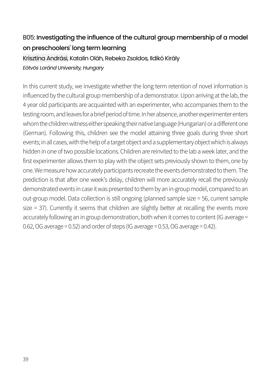## B05: Investigating the influence of the cultural group membership of a model on preschoolers' long term learning

#### Krisztina Andrási, Katalin Oláh, Rebeka Zsoldos, Ildikó Király *Eötvös Loránd University, Hungary*

In this current study, we investigate whether the long term retention of novel information is influenced by the cultural group membership of a demonstrator. Upon arriving at the lab, the 4 year old participants are acquainted with an experimenter, who accompanies them to the testing room, and leaves for a brief period of time. In her absence, another experimenter enters whom the children witness either speaking their native language (Hungarian) or a different one (German). Following this, children see the model attaining three goals during three short events; in all cases, with the help of a target object and a supplementary object which is always hidden in one of two possible locations. Children are reinvited to the lab a week later, and the first experimenter allows them to play with the object sets previously shown to them, one by one. We measure how accurately participants recreate the events demonstrated to them. The prediction is that after one week's delay, children will more accurately recall the previously demonstrated events in case it was presented to them by an in-group model, compared to an out-group model. Data collection is still ongoing (planned sample size = 56, current sample size = 37). Currently it seems that children are slightly better at recalling the events more accurately following an in group demonstration, both when it comes to content (IG average = 0.62, OG average = 0.52) and order of steps (IG average = 0.53, OG average = 0.42).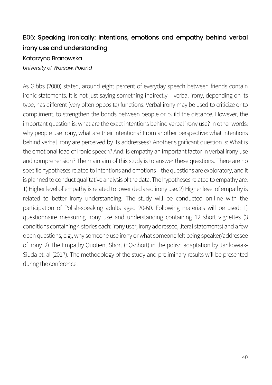## B06: Speaking ironically: intentions, emotions and empathy behind verbal irony use and understanding

#### Katarzyna Branowska *University of Warsaw, Poland*

As Gibbs (2000) stated, around eight percent of everyday speech between friends contain ironic statements. It is not just saying something indirectly – verbal irony, depending on its type, has different (very often opposite) functions. Verbal irony may be used to criticize or to compliment, to strengthen the bonds between people or build the distance. However, the important question is: what are the exact intentions behind verbal irony use? In other words: why people use irony, what are their intentions? From another perspective: what intentions behind verbal irony are perceived by its addressees? Another significant question is: What is the emotional load of ironic speech? And: is empathy an important factor in verbal irony use and comprehension? The main aim of this study is to answer these questions. There are no specific hypotheses related to intentions and emotions – the questions are exploratory, and it is planned to conduct qualitative analysis of the data. The hypotheses related to empathy are: 1) Higher level of empathy is related to lower declared irony use. 2) Higher level of empathy is related to better irony understanding. The study will be conducted on-line with the participation of Polish-speaking adults aged 20-60. Following materials will be used: 1) questionnaire measuring irony use and understanding containing 12 short vignettes (3 conditions containing 4 stories each: irony user, irony addressee, literal statements) and a few open questions, e.g.,why someone use irony or what someone felt being speaker/addressee of irony. 2) The Empathy Quotient Short (EQ-Short) in the polish adaptation by Jankowiak-Siuda et. al (2017). The methodology of the study and preliminary results will be presented during the conference.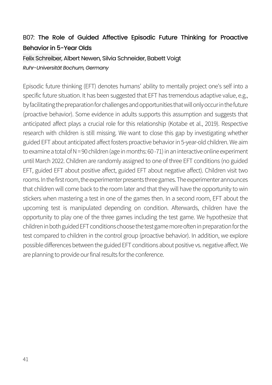#### B07: The Role of Guided Affective Episodic Future Thinking for Proactive Behavior in 5-Year Olds

#### Felix Schreiber, Albert Newen, Silvia Schneider, Babett Voigt *Ruhr-Universität Bochum, Germany*

Episodic future thinking (EFT) denotes humans' ability to mentally project one's self into a specific future situation. It has been suggested that EFT has tremendous adaptive value, e.g., by facilitating the preparation for challenges and opportunities that will only occur in the future (proactive behavior). Some evidence in adults supports this assumption and suggests that anticipated affect plays a crucial role for this relationship (Kotabe et al., 2019). Respective research with children is still missing. We want to close this gap by investigating whether guided EFT about anticipated affect fosters proactive behavior in 5-year-old children. We aim to examine a total of N = 90 children (age in months: 60 -71) in an interactive online experiment until March 2022. Children are randomly assigned to one of three EFT conditions (no guided EFT, guided EFT about positive affect, guided EFT about negative affect). Children visit two rooms. In the first room, the experimenter presents three games. The experimenter announces that children will come back to the room later and that they will have the opportunity to win stickers when mastering a test in one of the games then. In a second room, EFT about the upcoming test is manipulated depending on condition. Afterwards, children have the opportunity to play one of the three games including the test game. We hypothesize that children in both guided EFT conditions choose the test game more often in preparation for the test compared to children in the control group (proactive behavior). In addition, we explore possible differences between the guided EFT conditions about positive vs. negative affect. We are planning to provide our final results for the conference.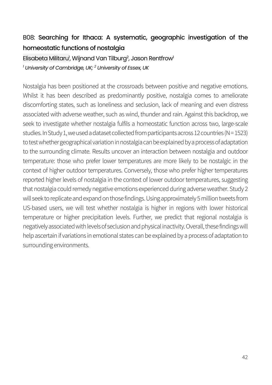### B08: Searching for Ithaca: A systematic, geographic investigation of the homeostatic functions of nostalaia

Elisabeta Militaru<sup>i</sup>, Wijnand Van Tilburg<sup>2</sup>, Jason Rentfrow<sup>i</sup> *<sup>1</sup> University of Cambridge, UK; 2 University of Essex, UK*

Nostalgia has been positioned at the crossroads between positive and negative emotions. Whilst it has been described as predominantly positive, nostalgia comes to ameliorate discomforting states, such as loneliness and seclusion, lack of meaning and even distress associated with adverse weather, such as wind, thunder and rain. Against this backdrop, we seek to investigate whether nostalgia fulfils a homeostatic function across two, large-scale studies. In Study 1, we used a dataset collected from participants across 12 countries (N = 1523) to test whether geographical variation in nostalgia can be explained by a process of adaptation to the surrounding climate. Results uncover an interaction between nostalgia and outdoor temperature: those who prefer lower temperatures are more likely to be nostalgic in the context of higher outdoor temperatures. Conversely, those who prefer higher temperatures reported higher levels of nostalgia in the context of lower outdoor temperatures, suggesting that nostalgia could remedy negative emotions experienced during adverse weather. Study 2 will seek to replicate and expand on those findings. Using approximately 5 million tweets from US-based users, we will test whether nostalgia is higher in regions with lower historical temperature or higher precipitation levels. Further, we predict that regional nostalgia is negatively associated with levels of seclusion and physical inactivity. Overall, these findings will help ascertain if variations in emotional states can be explained by a process of adaptation to surrounding environments.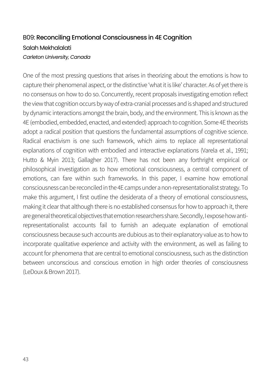#### B09: Reconciling Emotional Consciousness in 4E Cognition Salah Mekhalalati *Carleton University, Canada*

One of the most pressing questions that arises in theorizing about the emotions is how to capture their phenomenal aspect, or the distinctive 'what it is like' character. As of yet there is no consensus on how to do so. Concurrently, recent proposals investigating emotion reflect the view that cognition occurs by way of extra-cranial processes and is shaped and structured by dynamic interactions amongst the brain, body, and the environment. This is known as the 4E (embodied, embedded, enacted, and extended) approach to cognition. Some 4E theorists adopt a radical position that questions the fundamental assumptions of cognitive science. Radical enactivism is one such framework, which aims to replace all representational explanations of cognition with embodied and interactive explanations (Varela et al., 1991; Hutto & Myin 2013; Gallagher 2017). There has not been any forthright empirical or philosophical investigation as to how emotional consciousness, a central component of emotions, can fare within such frameworks. In this paper, I examine how emotional consciousness can be reconciled in the 4E camps under a non-representationalist strategy. To make this argument, I first outline the desiderata of a theory of emotional consciousness, making it clear that although there is no established consensus for how to approach it, there are general theoretical objectives that emotion researchers share. Secondly, I expose how antirepresentationalist accounts fail to furnish an adequate explanation of emotional consciousness because such accounts are dubious as to their explanatory value as to how to incorporate qualitative experience and activity with the environment, as well as failing to account for phenomena that are central to emotional consciousness, such as the distinction between unconscious and conscious emotion in high order theories of consciousness (LeDoux & Brown 2017).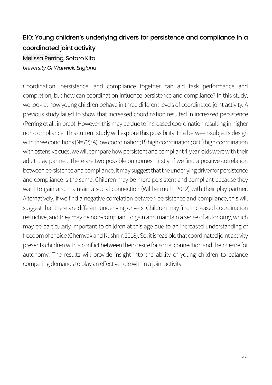## B10: Young children's underlying drivers for persistence and compliance in a coordinated joint activity

Melissa Perring, Sotaro Kita *University Of Warwick, England*

Coordination, persistence, and compliance together can aid task performance and completion, but how can coordination influence persistence and compliance? In this study, we look at how young children behave in three different levels of coordinated joint activity. A previous study failed to show that increased coordination resulted in increased persistence (Perring et al., in prep). However, this may be due to increased coordination resulting in higher non-compliance. This current study will explore this possibility. In a between-subjects design with three conditions (N=72): A) low coordination; B) high coordination; or C) high coordination with ostensive cues, we will compare how persistent and compliant 4-year-olds were with their adult play partner. There are two possible outcomes. Firstly, if we find a positive correlation between persistence and compliance, it may suggest that the underlying driver for persistence and compliance is the same. Children may be more persistent and compliant because they want to gain and maintain a social connection (Wilthermuth, 2012) with their play partner. Alternatively, if we find a negative correlation between persistence and compliance, this will suggest that there are different underlying drivers. Children may find increased coordination restrictive, and they may be non-compliant to gain and maintain a sense of autonomy, which may be particularly important to children at this age due to an increased understanding of freedom of choice (Chernyak and Kushnir, 2018). So, it is feasible that coordinated joint activity presents children with a conflict between their desire for social connection and their desire for autonomy. The results will provide insight into the ability of young children to balance competing demands to play an effective role within a joint activity.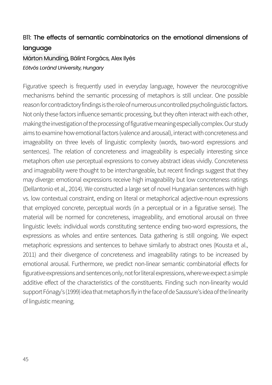#### B11: The effects of semantic combinatorics on the emotional dimensions of language

#### Márton Munding, Bálint Forgács, Alex Ilyés *Eötvös Loránd University, Hungary*

Figurative speech is frequently used in everyday language, however the neurocognitive mechanisms behind the semantic processing of metaphors is still unclear. One possible reason for contradictory findings is the role of numerous uncontrolled psycholinguistic factors. Not only these factors influence semantic processing, but they often interact with each other, making the investigation of the processing of figurative meaning especially complex. Our study aims to examine how emotional factors (valence and arousal), interact with concreteness and imageability on three levels of linguistic complexity (words, two-word expressions and sentences). The relation of concreteness and imageability is especially interesting since metaphors often use perceptual expressions to convey abstract ideas vividly. Concreteness and imageability were thought to be interchangeable, but recent findings suggest that they may diverge: emotional expressions receive high imageability but low concreteness ratings (Dellantonio et al., 2014). We constructed a large set of novel Hungarian sentences with high vs. low contextual constraint, ending on literal or metaphorical adjective-noun expressions that employed concrete, perceptual words (in a perceptual or in a figurative sense). The material will be normed for concreteness, imageability, and emotional arousal on three linguistic levels: individual words constituting sentence ending two-word expressions, the expressions as wholes and entire sentences. Data gathering is still ongoing. We expect metaphoric expressions and sentences to behave similarly to abstract ones (Kousta et al., 2011) and their divergence of concreteness and imageability ratings to be increased by emotional arousal. Furthermore, we predict non-linear semantic combinatorial effects for figurative expressions and sentences only, not for literal expressions, where we expect a simple additive effect of the characteristics of the constituents. Finding such non-linearity would support Fónagy's (1999) idea that metaphors fly in the face of de Saussure's idea of the linearity of linguistic meaning.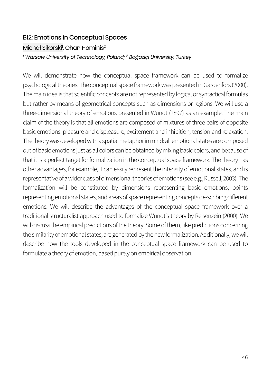## B12: Emotions in Conceptual Spaces Michał Sikorski<sup>1</sup>, Ohan Hominis<sup>2</sup> *<sup>1</sup> Warsaw University of Technology, Poland; 2 Boğaziçi University, Turkey*

We will demonstrate how the conceptual space framework can be used to formalize psychological theories. The conceptual space framework was presented in Gärdenfors (2000). The main idea is that scientific concepts are not represented by logical or syntactical formulas but rather by means of geometrical concepts such as dimensions or regions. We will use a three-dimensional theory of emotions presented in Wundt (1897) as an example. The main claim of the theory is that all emotions are composed of mixtures of three pairs of opposite basic emotions: pleasure and displeasure, excitement and inhibition, tension and relaxation. The theory was developed with a spatial metaphor in mind: all emotional states are composed out of basic emotions just as all colors can be obtained by mixing basic colors, and because of that it is a perfect target for formalization in the conceptual space framework. The theory has other advantages, for example, it can easily represent the intensity of emotional states, and is representative of a wider class of dimensional theories of emotions (see e.g., Russell, 2003). The formalization will be constituted by dimensions representing basic emotions, points representing emotional states, and areas of space representing concepts de-scribing different emotions. We will describe the advantages of the conceptual space framework over a traditional structuralist approach used to formalize Wundt's theory by Reisenzein (2000). We will discuss the empirical predictions of the theory. Some of them, like predictions concerning the similarity of emotional states, are generated by the new formalization. Additionally, we will describe how the tools developed in the conceptual space framework can be used to formulate a theory of emotion, based purely on empirical observation.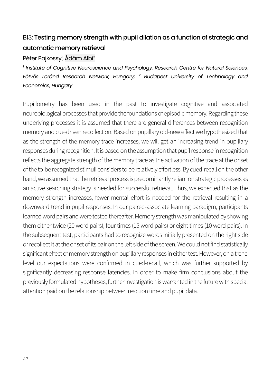#### B13: Testing memory strength with pupil dilation as a function of strategic and automatic memory retrieval

#### Péter Pajkossy<sup>ı</sup>, Ádám Albi<sup>2</sup>

*<sup>1</sup> Institute of Cognitive Neuroscience and Psychology, Research Centre for Natural Sciences, Eötvös Loránd Research Network, Hungary; <sup>2</sup> Budapest University of Technology and Economics, Hungary*

Pupillometry has been used in the past to investigate cognitive and associated neurobiological processes that provide the foundations of episodic memory. Regarding these underlying processes it is assumed that there are general differences between recognition memory and cue-driven recollection. Based on pupillary old-new effect we hypothesized that as the strength of the memory trace increases, we will get an increasing trend in pupillary responses during recognition. It is based on the assumption that pupil response in recognition reflects the aggregate strength of the memory trace as the activation of the trace at the onset of the to-be recognized stimuli considers to be relatively effortless. By cued-recall on the other hand, we assumed that the retrieval process is predominantly reliant on strategic processes as an active searching strategy is needed for successful retrieval. Thus, we expected that as the memory strength increases, fewer mental effort is needed for the retrieval resulting in a downward trend in pupil responses. In our paired-associate learning paradigm, participants learned word pairs and were tested thereafter. Memory strength was manipulated by showing them either twice (20 word pairs), four times (15 word pairs) or eight times (10 word pairs). In the subsequent test, participants had to recognize words initially presented on the right side or recollect it at the onset of its pair on the left side of the screen. We could not find statistically significant effect of memory strength on pupillary responses in either test. However, on a trend level our expectations were confirmed in cued-recall, which was further supported by significantly decreasing response latencies. In order to make firm conclusions about the previously formulated hypotheses, further investigation is warranted in the future with special attention paid on the relationship between reaction time and pupil data.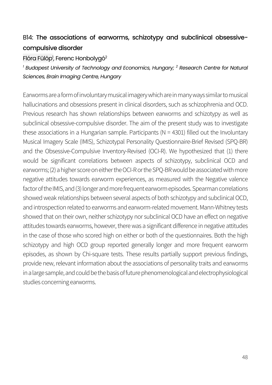#### B14: The associations of earworms, schizotypy and subclinical obsessivecompulsive disorder

#### Flóra Fülöp<sup>1</sup>, Ferenc Honbolygó<sup>2</sup>

*<sup>1</sup> Budapest University of Technology and Economics, Hungary; <sup>2</sup> Research Centre for Natural Sciences, Brain Imaging Centre, Hungary*

Earworms are a form of involuntary musical imagery which are in many ways similar to musical hallucinations and obsessions present in clinical disorders, such as schizophrenia and OCD. Previous research has shown relationships between earworms and schizotypy as well as subclinical obsessive-compulsive disorder. The aim of the present study was to investigate these associations in a Hungarian sample. Participants  $(N = 4301)$  filled out the Involuntary Musical Imagery Scale (IMIS), Schizotypal Personality Questionnaire-Brief Revised (SPQ-BR) and the Obsessive-Compulsive Inventory-Revised (OCI-R). We hypothesized that (1) there would be significant correlations between aspects of schizotypy, subclinical OCD and earworms; (2) a higher score on either the OCI-R orthe SPQ-BR would be associated with more negative attitudes towards earworm experiences, as measured with the Negative valence factor of the IMIS, and (3) longer and more frequent earworm episodes. Spearman correlations showed weak relationships between several aspects of both schizotypy and subclinical OCD, and introspection related to earworms and earworm-related movement. Mann-Whitney tests showed that on their own, neither schizotypy nor subclinical OCD have an effect on negative attitudes towards earworms, however, there was a significant difference in negative attitudes in the case of those who scored high on either or both of the questionnaires. Both the high schizotypy and high OCD group reported generally longer and more frequent earworm episodes, as shown by Chi-square tests. These results partially support previous findings, provide new, relevant information about the associations of personality traits and earworms in a large sample, and could be the basis of future phenomenological and electrophysiological studies concerning earworms.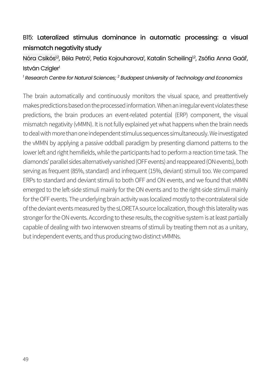## B15: Lateralized stimulus dominance in automatic processing: a visual mismatch negativity study

#### Nóra Csikós<sup>ı2</sup>, Béla Petró<sup>ı</sup>, Petia Kojouharova<sup>ı</sup>, Katalin Scheiling<sup>ı2</sup>, Zsófia Anna Gaál<sup>ı</sup>, István Czialer<sup>1</sup>

*<sup>1</sup> Research Centre for Natural Sciences; 2 Budapest University of Technology and Economics* 

The brain automatically and continuously monitors the visual space, and preattentively makes predictions based on the processed information. When an irregular event violates these predictions, the brain produces an event-related potential (ERP) component, the visual mismatch negativity (vMMN). It is not fully explained yet what happens when the brain needs to deal with more than one independent stimulus sequences simultaneously. We investigated the vMMN by applying a passive oddball paradigm by presenting diamond patterns to the lower left and right hemifields, while the participants had to perform a reaction time task. The diamonds' parallel sides alternatively vanished (OFF events) and reappeared (ON events), both serving as frequent (85%, standard) and infrequent (15%, deviant) stimuli too. We compared ERPs to standard and deviant stimuli to both OFF and ON events, and we found that vMMN emerged to the left-side stimuli mainly for the ON events and to the right-side stimuli mainly for the OFF events. The underlying brain activity was localized mostly to the contralateral side of the deviant events measured by the sLORETA source localization, though this laterality was stronger for the ON events. According to these results, the cognitive system is at least partially capable of dealing with two interwoven streams of stimuli by treating them not as a unitary, but independent events, and thus producing two distinct vMMNs.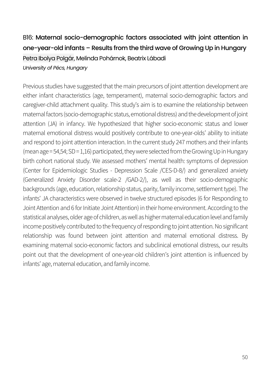#### B16: Maternal socio-demographic factors associated with joint attention in one-year-old infants – Results from the third wave of Growing Up in Hungary

#### Petra Ibolya Polgár, Melinda Pohárnok, Beatrix Lábadi *University of Pécs, Hungary*

Previous studies have suggested that the main precursors of joint attention development are either infant characteristics (age, temperament), maternal socio-demographic factors and caregiver-child attachment quality. This study's aim is to examine the relationship between maternal factors (socio-demographic status, emotional distress) and the development of joint attention (JA) in infancy. We hypothesized that higher socio-economic status and lower maternal emotional distress would positively contribute to one-year-olds' ability to initiate and respond to joint attention interaction. In the current study 247 mothers and their infants (mean age = 54,54; SD = 1,16) participated, they were selected from the Growing Up in Hungary birth cohort national study. We assessed mothers' mental health: symptoms of depression (Center for Epidemiologic Studies - Depression Scale /CES-D-8/) and generalized anxiety (Generalized Anxiety Disorder scale-2 /GAD-2/), as well as their socio-demographic backgrounds (age, education, relationship status, parity, family income, settlement type). The infants' JA characteristics were observed in twelve structured episodes (6 for Responding to Joint Attention and 6 for Initiate Joint Attention) in their home environment. According to the statistical analyses, older age of children, as well as higher maternal education level and family income positively contributed to the frequency of responding to joint attention. No significant relationship was found between joint attention and maternal emotional distress. By examining maternal socio-economic factors and subclinical emotional distress, our results point out that the development of one-year-old children's joint attention is influenced by infants' age, maternal education, and family income.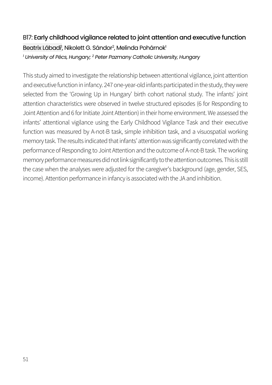## B17: Early childhood vigilance related to joint attention and executive function Beatrix Lábadi<sup>1</sup>, Nikolett G. Sándor<sup>2</sup>, Melinda Pohárnok<sup>1</sup> *<sup>1</sup> University of Pécs, Hungary; 2 Peter Pazmany Catholic University, Hungary*

This study aimed to investigate the relationship between attentional vigilance, joint attention and executive function in infancy. 247 one-year-old infants participated in the study, they were selected from the 'Growing Up in Hungary' birth cohort national study. The infants' joint attention characteristics were observed in twelve structured episodes (6 for Responding to Joint Attention and 6 for Initiate Joint Attention) in their home environment. We assessed the infants' attentional vigilance using the Early Childhood Vigilance Task and their executive function was measured by A-not-B task, simple inhibition task, and a visuospatial working memory task. The results indicated that infants' attention was significantly correlated with the performance of Responding to Joint Attention and the outcome of A-not-B task. The working memory performance measures did not link significantly to the attention outcomes. This is still the case when the analyses were adjusted for the caregiver's background (age, gender, SES, income). Attention performance in infancy is associated with the JA and inhibition.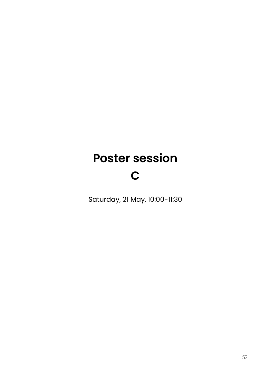# **Poster session**

## **C**

Saturday, 21 May, 10:00-11:30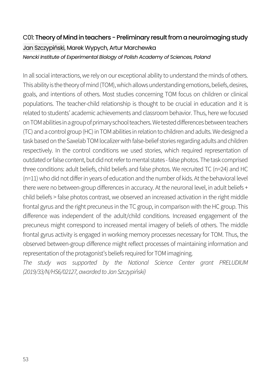## C01: Theory of Mind in teachers - Preliminary result from a neuroimaging study Jan Szczypiński, Marek Wypych, Artur Marchewka *Nencki Institute of Experimental Biology of Polish Academy of Sciences, Poland*

In all social interactions, we rely on our exceptional ability to understand the minds of others. This ability is the theory of mind (TOM), which allows understanding emotions, beliefs, desires, goals, and intentions of others. Most studies concerning TOM focus on children or clinical populations. The teacher-child relationship is thought to be crucial in education and it is related to students' academic achievements and classroom behavior. Thus, here we focused on TOM abilities in a group of primary school teachers.We tested differences between teachers (TC) and a control group (HC) in TOM abilities in relation to children and adults. We designed a task based on the Saxelab TOM localizer with false-belief stories regarding adults and children respectively. In the control conditions we used stories, which required representation of outdated or false content, but did not refer to mental states -false photos. The task comprised three conditions: adult beliefs, child beliefs and false photos. We recruited TC (n=24) and HC (n=11) who did not differ in years of education and the number of kids. At the behavioral level there were no between-group differences in accuracy. At the neuronal level, in adult beliefs + child beliefs > false photos contrast, we observed an increased activation in the right middle frontal gyrus and the right precuneus in the TC group, in comparison with the HC group. This difference was independent of the adult/child conditions. Increased engagement of the precuneus might correspond to increased mental imagery of beliefs of others. The middle frontal gyrus activity is engaged in working memory processes necessary for TOM. Thus, the observed between-group difference might reflect processes of maintaining information and representation of the protagonist's beliefs required for TOM imagining.

*The study was supported by the National Science Center grant PRELUDIUM (2019/33/N/HS6/02127, awarded to Jan Szczypiński)*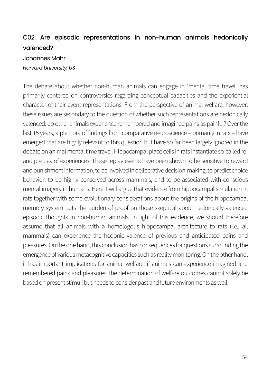#### C02: Are episodic representations in non-human animals hedonically valenced?

#### Johannes Mahr *Harvard University, US*

The debate about whether non-human animals can engage in 'mental time travel' has primarily centered on controversies regarding conceptual capacities and the experiential character of their event representations. From the perspective of animal welfare, however, these issues are secondary to the question of whether such representations are hedonically valenced: do other animals experience remembered and imagined pains as painful? Over the last 15 years, a plethora of findings from comparative neuroscience – primarily in rats – have emerged that are highly relevant to this question but have so far been largely ignored in the debate on animal mental time travel. Hippocampal place cells in rats instantiate so-called reand preplay of experiences. These replay events have been shown to be sensitive to reward and punishment information, to be involved in deliberative decision-making, to predict choice behavior, to be highly conserved across mammals, and to be associated with conscious mental imagery in humans. Here, I will argue that evidence from hippocampal simulation in rats together with some evolutionary considerations about the origins of the hippocampal memory system puts the burden of proof on those skeptical about hedonically valenced episodic thoughts in non-human animals. In light of this evidence, we should therefore assume that all animals with a homologous hippocampal architecture to rats (i.e., all mammals) can experience the hedonic valence of previous and anticipated pains and pleasures. On the one hand, this conclusion has consequences for questions surrounding the emergence of various metacognitive capacities such as reality monitoring. On the other hand, it has important implications for animal welfare: if animals can experience imagined and remembered pains and pleasures, the determination of welfare outcomes cannot solely be based on present stimuli but needs to consider past and future environments as well.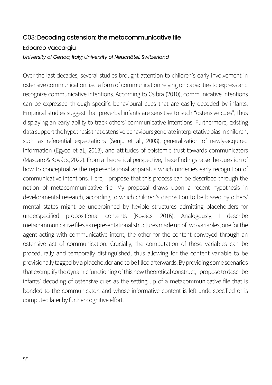## C03: Decoding ostension: the metacommunicative file Edoardo Vaccargiu

*University of Genoa, Italy; University of Neuchâtel, Switzerland*

Over the last decades, several studies brought attention to children's early involvement in ostensive communication, i.e., a form of communication relying on capacities to express and recognize communicative intentions. According to Csibra (2010), communicative intentions can be expressed through specific behavioural cues that are easily decoded by infants. Empirical studies suggest that preverbal infants are sensitive to such "ostensive cues", thus displaying an early ability to track others' communicative intentions. Furthermore, existing data support the hypothesis that ostensive behaviours generate interpretative bias in children, such as referential expectations (Senju et al., 2008), generalization of newly-acquired information (Egyed et al., 2013), and attitudes of epistemic trust towards communicators (Mascaro & Kovács, 2022). From a theoretical perspective, these findings raise the question of how to conceptualize the representational apparatus which underlies early recognition of communicative intentions. Here, I propose that this process can be described through the notion of metacommunicative file. My proposal draws upon a recent hypothesis in developmental research, according to which children's disposition to be biased by others' mental states might be underpinned by flexible structures admitting placeholders for underspecified propositional contents (Kovács, 2016). Analogously, I describe metacommunicative files as representational structures made up of two variables, one for the agent acting with communicative intent, the other for the content conveyed through an ostensive act of communication. Crucially, the computation of these variables can be procedurally and temporally distinguished, thus allowing for the content variable to be provisionally tagged by a placeholder and to be filled afterwards.By providing some scenarios that exemplify the dynamic functioning of this new theoretical construct, I propose to describe infants' decoding of ostensive cues as the setting up of a metacommunicative file that is bonded to the communicator, and whose informative content is left underspecified or is computed later by further cognitive effort.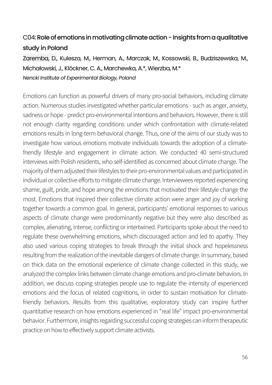### C04:Role of emotions in motivating climate action -Insights from a qualitative study in Poland

Zaremba, D., Kulesza, M., Herman, A., Marczak, M., Kossowski, B., Budziszewska, M., Michałowski, J., Klöckner, C. A., Marchewka, A.\*, Wierzba, M.\* *Nencki Institute of Experimental Biology, Poland*

Emotions can function as powerful drivers of many pro-social behaviors, including climate action. Numerous studies investigated whether particular emotions - such as anger, anxiety, sadness or hope - predict pro-environmental intentions and behaviors. However, there is still not enough clarity regarding conditions under which confrontation with climate-related emotions results in long-term behavioral change. Thus, one of the aims of our study was to investigate how various emotions motivate individuals towards the adoption of a climatefriendly lifestyle and engagement in climate action. We conducted 40 semi-structured interviews with Polish residents, who self-identified as concerned about climate change. The majority of them adjusted their lifestyles to their pro-environmental values and participated in individual or collective efforts to mitigate climate change. Interviewees reported experiencing shame, guilt, pride, and hope among the emotions that motivated their lifestyle change the most. Emotions that inspired their collective climate action were anger and joy of working together towards a common goal. In general, participants' emotional responses to various aspects of climate change were predominantly negative but they were also described as complex, alienating, intense, conflicting or intertwined. Participants spoke about the need to regulate these overwhelming emotions, which discouraged action and led to apathy. They also used various coping strategies to break through the initial shock and hopelessness resulting from the realization of the inevitable dangers of climate change. In summary, based on thick data on the emotional experience of climate change collected in this study, we analyzed the complex links between climate change emotions and pro-climate behaviors. In addition, we discuss coping strategies people use to regulate the intensity of experienced emotions and the focus of related cognitions, in order to sustain motivation for climatefriendly behaviors. Results from this qualitative, exploratory study can inspire further quantitative research on how emotions experienced in "real life" impact pro-environmental behavior. Furthermore, insights regarding successful coping strategies can inform therapeutic practice on how to effectively support climate activists.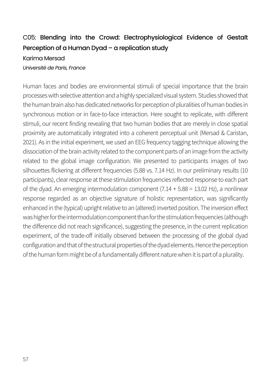## C05: Blending into the Crowd: Electrophysiological Evidence of Gestalt Perception of a Human Dyad – a replication study

#### Karima Mersad

#### *Université de Paris, France*

Human faces and bodies are environmental stimuli of special importance that the brain processes with selective attention and a highly specialized visual system. Studies showed that the human brain also has dedicated networks for perception of pluralities of human bodies in synchronous motion or in face-to-face interaction. Here sought to replicate, with different stimuli, our recent finding revealing that two human bodies that are merely in close spatial proximity are automatically integrated into a coherent perceptual unit (Mersad & Caristan, 2021). As in the initial experiment, we used an EEG frequency tagging technique allowing the dissociation of the brain activity related to the component parts of an image from the activity related to the global image configuration. We presented to participants images of two silhouettes flickering at different frequencies (5.88 vs. 7.14 Hz). In our preliminary results (10 participants), clear response at these stimulation frequencies reflected response to each part of the dyad. An emerging intermodulation component (7.14 + 5.88 = 13.02 Hz), a nonlinear response regarded as an objective signature of holistic representation, was significantly enhanced in the (typical) upright relative to an (altered) inverted position. The inversion effect was higher for the intermodulation component than for the stimulation frequencies (although the difference did not reach significance), suggesting the presence, in the current replication experiment, of the trade-off initially observed between the processing of the global dyad configuration and that of the structural properties of the dyad elements. Hence the perception of the human form might be of a fundamentally different nature when it is part of a plurality.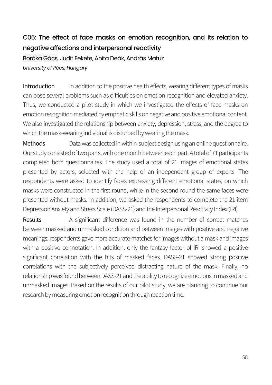## C06: The effect of face masks on emotion recognition, and its relation to negative affections and interpersonal reactivity

Boróka Gács, Judit Fekete, Anita Deák, András Matuz *University of Pécs, Hungary*

Introduction In addition to the positive health effects, wearing different types of masks can pose several problems such as difficulties on emotion recognition and elevated anxiety. Thus, we conducted a pilot study in which we investigated the effects of face masks on emotion recognition mediated by emphatic skills on negative and positive emotional content. We also investigated the relationship between anxiety, depression, stress, and the degree to which the mask-wearing individual is disturbed by wearing the mask.

Methods **Data was collected in within-subject design using an online questionnaire.** Our study consisted of two parts, with one month between each part. A total of 71 participants completed both questionnaires. The study used a total of 21 images of emotional states presented by actors, selected with the help of an independent group of experts. The respondents were asked to identify faces expressing different emotional states, on which masks were constructed in the first round, while in the second round the same faces were presented without masks. In addition, we asked the respondents to complete the 21-item Depression Anxiety and Stress Scale (DASS-21) and the Interpersonal Reactivity Index (IRI).

Results A significant difference was found in the number of correct matches between masked and unmasked condition and between images with positive and negative meanings: respondents gave more accurate matches for images without a mask and images with a positive connotation. In addition, only the fantasy factor of IRI showed a positive significant correlation with the hits of masked faces. DASS-21 showed strong positive correlations with the subjectively perceived distracting nature of the mask. Finally, no relationship was found between DASS-21 and the ability to recognize emotions in masked and unmasked images. Based on the results of our pilot study, we are planning to continue our research by measuring emotion recognition through reaction time.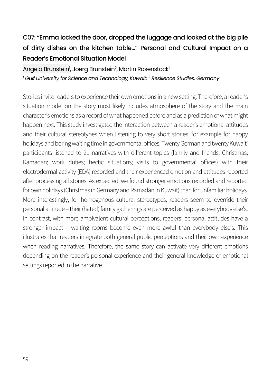## C07: "Emma locked the door, dropped the luggage and looked at the big pile of dirty dishes on the kitchen table…" Personal and Cultural Impact on a Reader's Emotional Situation Model

Angela Brunstein<sup>1</sup>, Joerg Brunstein<sup>2</sup>, Martin Rosenstock<sup>1</sup> *<sup>1</sup> Gulf University for Science and Technology, Kuwait; 2 Resilience Studies, Germany*

Stories invite readers to experience their own emotions in a new setting. Therefore, a reader's situation model on the story most likely includes atmosphere of the story and the main character's emotions as a record of what happened before and as a prediction of what might happen next. This study investigated the interaction between a reader's emotional attitudes and their cultural stereotypes when listening to very short stories, for example for happy holidays and boring waiting time in governmental offices. Twenty German and twenty Kuwaiti participants listened to 21 narratives with different topics (family and friends; Christmas; Ramadan; work duties; hectic situations; visits to governmental offices) with their electrodermal activity (EDA) recorded and their experienced emotion and attitudes reported after processing all stories. As expected, we found stronger emotions recorded and reported for own holidays (Christmas in Germany and Ramadan in Kuwait) than for unfamiliar holidays. More interestingly, for homogenous cultural stereotypes, readers seem to override their personal attitude – their (hated) family gatherings are perceived as happy as everybody else's. In contrast, with more ambivalent cultural perceptions, readers' personal attitudes have a stronger impact – waiting rooms become even more awful than everybody else's. This illustrates that readers integrate both general public perceptions and their own experience when reading narratives. Therefore, the same story can activate very different emotions depending on the reader's personal experience and their general knowledge of emotional settings reported in the narrative.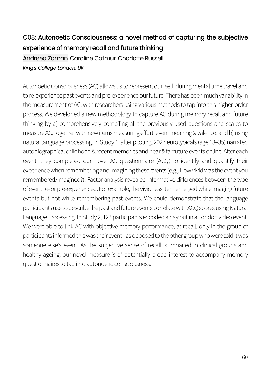## C08: Autonoetic Consciousness: a novel method of capturing the subjective experience of memory recall and future thinking

Andreea Zaman, Caroline Catmur, Charlotte Russell *King's College London, UK*

Autonoetic Consciousness (AC) allows us to represent our 'self' during mental time travel and to re-experience past events and pre-experience our future. There has been much variability in the measurement of AC, with researchers using various methods to tap into this higher-order process. We developed a new methodology to capture AC during memory recall and future thinking by a) comprehensively compiling all the previously used questions and scales to measure AC, together with new items measuring effort, event meaning & valence, and b) using natural language processing. In Study 1, after piloting, 202 neurotypicals (age 18–35) narrated autobiographical childhood & recent memories and near & far future events online. After each event, they completed our novel AC questionnaire (ACQ) to identify and quantify their experience when remembering and imagining these events (e.g., How vivid was the event you remembered/imagined?). Factor analysis revealed informative differences between the type of event re-or pre-experienced. For example, the vividness item emerged while imaging future events but not while remembering past events. We could demonstrate that the language participants use to describe the past and future events correlate with ACQ scores using Natural Language Processing. In Study 2, 123 participants encoded a day out in a London video event. We were able to link AC with objective memory performance, at recall, only in the group of participants informed this was their event–as opposed to the other group who were told it was someone else's event. As the subjective sense of recall is impaired in clinical groups and healthy ageing, our novel measure is of potentially broad interest to accompany memory questionnaires to tap into autonoetic consciousness.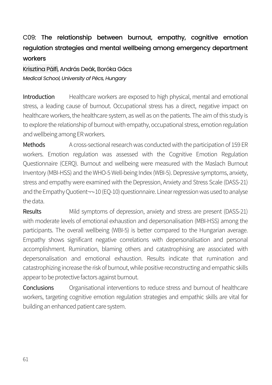## C09: The relationship between burnout, empathy, cognitive emotion regulation strategies and mental wellbeing among emergency department workers

Krisztina Pálfi, András Deák, Boróka Gács *Medical School, University of Pécs, Hungary*

Introduction Healthcare workers are exposed to high physical, mental and emotional stress, a leading cause of burnout. Occupational stress has a direct, negative impact on healthcare workers, the healthcare system, as well as on the patients. The aim of this study is to explore the relationship of burnout with empathy, occupational stress, emotion regulation and wellbeing among ER workers.

Methods A cross-sectional research was conducted with the participation of 159 ER workers. Emotion regulation was assessed with the Cognitive Emotion Regulation Questionnaire (CERQ). Burnout and wellbeing were measured with the Maslach Burnout Inventory (MBI-HSS) and the WHO-5 Well-being Index (WBI-5). Depressive symptoms, anxiety, stress and empathy were examined with the Depression, Anxiety and Stress Scale (DASS-21) and the Empathy Quotient¬¬-10 (EQ-10) questionnaire. Linear regressionwas used to analyse the data.

Results Mild symptoms of depression, anxiety and stress are present (DASS-21) with moderate levels of emotional exhaustion and depersonalisation (MBI-HSS) among the participants. The overall wellbeing (WBI-5) is better compared to the Hungarian average. Empathy shows significant negative correlations with depersonalisation and personal accomplishment. Rumination, blaming others and catastrophising are associated with depersonalisation and emotional exhaustion. Results indicate that rumination and catastrophizing increase the risk of burnout, while positive reconstructing and empathic skills appear to be protective factors against burnout.

Conclusions Organisational interventions to reduce stress and burnout of healthcare workers, targeting cognitive emotion regulation strategies and empathic skills are vital for building an enhanced patient care system.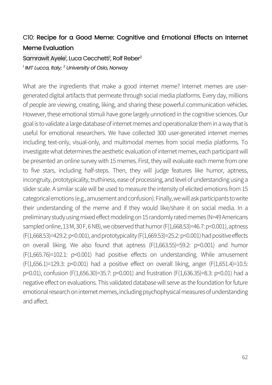#### C10: Recipe for a Good Meme: Cognitive and Emotional Effects on Internet Meme Evaluation

#### Samrawit Ayele<sup>1</sup>, Luca Cecchetti<sup>1</sup>, Rolf Reber<sup>2</sup> *<sup>1</sup> IMT Lucca, Italy; 2 University of Oslo, Norway*

What are the ingredients that make a good internet meme? Internet memes are usergenerated digital artifacts that permeate through social media platforms. Every day, millions of people are viewing, creating, liking, and sharing these powerful communication vehicles. However, these emotional stimuli have gone largely unnoticed in the cognitive sciences. Our goal is to validate a large database of internet memes and operationalize them in a way that is useful for emotional researchers. We have collected 300 user-generated internet memes including text-only, visual-only, and multimodal memes from social media platforms. To investigate what determines the aesthetic evaluation of internet memes, each participant will be presented an online survey with 15 memes. First, they will evaluate each meme from one to five stars, including half-steps. Then, they will judge features like humor, aptness, incongruity, prototypicality, truthiness, ease of processing, and level of understanding using a slider scale. A similar scale will be used to measure the intensity of elicited emotions from 15 categorical emotions (e.g., amusement and confusion). Finally, we will ask participants to write their understanding of the meme and if they would like/share it on social media. In a preliminary study using mixed effect modeling on 15 randomly rated memes (N=49 Americans sampled online, 13 M, 30 F, 6 NB), we observed that humor (F(1,668.53)=46.7: p<0.001), aptness (F(1,668.53)=429.2: p<0.001), and prototypicality (F(1,669.53)=25.2: p<0.001) had positive effects on overall liking. We also found that aptness (F(1,663.55)=59.2: p<0.001) and humor (F(1,665.76)=102.1: p<0.001) had positive effects on understanding. While amusement  $(F(1,656.1)=129.3: p<0.001)$  had a positive effect on overall liking, anger  $(F(1,651.4)=10.5:$ p<0.01), confusion (F(1,656.30)=35.7: p<0.001) and frustration (F(1,636.35)=8.3: p<0.01) had a negative effect on evaluations. This validated database will serve as the foundation for future emotional research on internet memes, including psychophysical measures of understanding and affect.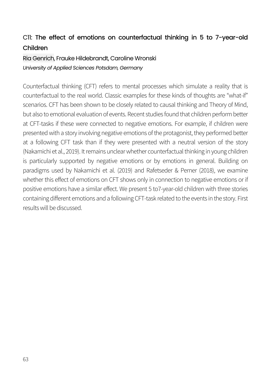## C11: The effect of emotions on counterfactual thinking in 5 to 7-year-old Children

#### Ria Genrich, Frauke Hildebrandt, Caroline Wronski *University of Applied Sciences Potsdam, Germany*

Counterfactual thinking (CFT) refers to mental processes which simulate a reality that is counterfactual to the real world. Classic examples for these kinds of thoughts are "what-if" scenarios. CFT has been shown to be closely related to causal thinking and Theory of Mind, but also to emotional evaluation of events. Recent studies found that children perform better at CFT-tasks if these were connected to negative emotions. For example, if children were presented with a story involving negative emotions of the protagonist, they performed better at a following CFT task than if they were presented with a neutral version of the story (Nakamichi et al., 2019). It remains unclear whether counterfactual thinking in young children is particularly supported by negative emotions or by emotions in general. Building on paradigms used by Nakamichi et al. (2019) and Rafetseder & Perner (2018), we examine whether this effect of emotions on CFT shows only in connection to negative emotions or if positive emotions have a similar effect. We present 5 to7-year-old children with three stories containing different emotions and a following CFT-task related to the events in the story. First results will be discussed.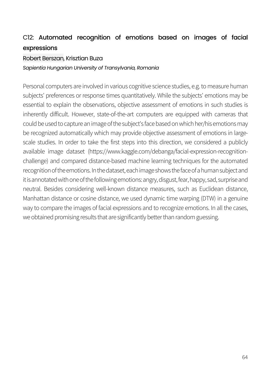#### C12: Automated recognition of emotions based on images of facial expressions

#### Robert Berszan, Krisztian Buza

*Sapientia Hungarian University of Transylvania, Romania*

Personal computers are involved in various cognitive science studies, e.g. to measure human subjects' preferences or response times quantitatively. While the subjects' emotions may be essential to explain the observations, objective assessment of emotions in such studies is inherently difficult. However, state-of-the-art computers are equipped with cameras that could be used to capture an image of the subject's face based on which her/his emotions may be recognized automatically which may provide objective assessment of emotions in largescale studies. In order to take the first steps into this direction, we considered a publicly available image dataset (https://www.kaggle.com/debanga/facial-expression-recognitionchallenge) and compared distance-based machine learning techniques for the automated recognition of the emotions. In the dataset, each image shows the face of a human subject and it is annotated with one of the following emotions: angry, disgust, fear, happy, sad, surprise and neutral. Besides considering well-known distance measures, such as Euclidean distance, Manhattan distance or cosine distance, we used dynamic time warping (DTW) in a genuine way to compare the images of facial expressions and to recognize emotions. In all the cases, we obtained promising results that are significantly better than random guessing.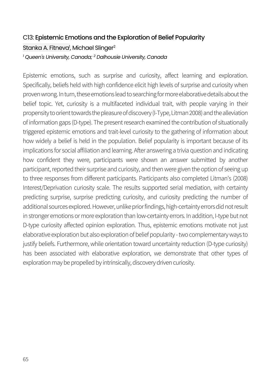## C13: Epistemic Emotions and the Exploration of Belief Popularity Stanka A. Fitneva<sup>1</sup>, Michael Slinger<sup>2</sup> *<sup>1</sup> Queen's University, Canada; 2 Dalhousie University, Canada*

Epistemic emotions, such as surprise and curiosity, affect learning and exploration. Specifically, beliefs held with high confidence elicit high levels of surprise and curiosity when proven wrong. In turn, these emotions lead to searching for more elaborative details about the belief topic. Yet, curiosity is a multifaceted individual trait, with people varying in their propensity to orient towards the pleasure of discovery (I-Type, Litman 2008) and the alleviation of information gaps (D-type). The present research examined the contribution of situationally triggered epistemic emotions and trait-level curiosity to the gathering of information about how widely a belief is held in the population. Belief popularity is important because of its implications for social affiliation and learning. After answering a trivia question and indicating how confident they were, participants were shown an answer submitted by another participant, reported their surprise and curiosity, and then were given the option of seeing up to three responses from different participants. Participants also completed Litman's (2008) Interest/Deprivation curiosity scale. The results supported serial mediation, with certainty predicting surprise, surprise predicting curiosity, and curiosity predicting the number of additional sources explored. However, unlike prior findings, high-certainty errors did not result in stronger emotions or more exploration than low-certainty errors. In addition, I-type but not D-type curiosity affected opinion exploration. Thus, epistemic emotions motivate not just elaborative exploration but also exploration of belief popularity -two complementary ways to justify beliefs. Furthermore, while orientation toward uncertainty reduction (D-type curiosity) has been associated with elaborative exploration, we demonstrate that other types of exploration may be propelled by intrinsically, discovery driven curiosity.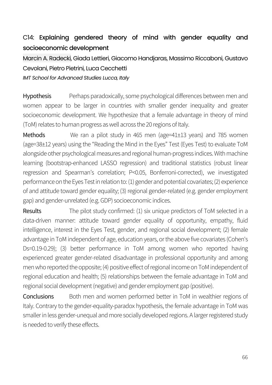## C14: Explaining gendered theory of mind with gender equality and socioeconomic development

Marcin A. Radecki, Giada Lettieri, Giacomo Handjaras, Massimo Riccaboni, Gustavo Cevolani, Pietro Pietrini, Luca Cecchetti

*IMT School for Advanced Studies Lucca, Italy*

Hypothesis Perhaps paradoxically, some psychological differences between men and women appear to be larger in countries with smaller gender inequality and greater socioeconomic development. We hypothesize that a female advantage in theory of mind (ToM) relates to human progress as well across the 20 regions of Italy.

Methods We ran a pilot study in 465 men (age=41±13 years) and 785 women (age=38±12 years) using the "Reading the Mind in the Eyes" Test (Eyes Test) to evaluate ToM alongside other psychological measures and regional human-progress indices. With machine learning (bootstrap-enhanced LASSO regression) and traditional statistics (robust linear regression and Spearman's correlation; P<0.05, Bonferroni-corrected), we investigated performance on the Eyes Test in relation to: (1) gender and potential covariates; (2) experience of and attitude toward gender equality; (3) regional gender-related (e.g. gender employment gap) and gender-unrelated (e.g. GDP) socioeconomic indices.

Results The pilot study confirmed: (1) six unique predictors of ToM selected in a data-driven manner: attitude toward gender equality of opportunity, empathy, fluid intelligence, interest in the Eyes Test, gender, and regional social development; (2) female advantage in ToM independent of age, education years, or the above five covariates (Cohen's Ds=0.19-0.29); (3) better performance in ToM among women who reported having experienced greater gender-related disadvantage in professional opportunity and among men who reported the opposite; (4) positive effect of regional income on ToM independent of regional education and health; (5) relationships between the female advantage in ToM and regional social development (negative) and gender employment gap (positive).

Conclusions Both men and women performed better in ToM in wealthier regions of Italy. Contrary to the gender-equality-paradox hypothesis, the female advantage in ToM was smaller in less gender-unequal and more socially developed regions. A larger registered study is needed to verify these effects.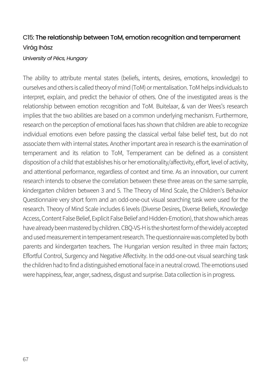#### C15: The relationship between ToM, emotion recognition and temperament Virág Ihász

#### *University of Pécs, Hungary*

The ability to attribute mental states (beliefs, intents, desires, emotions, knowledge) to ourselves and others is called theory of mind (ToM) or mentalisation. ToM helps individuals to interpret, explain, and predict the behavior of others. One of the investigated areas is the relationship between emotion recognition and ToM. Buitelaar, & van der Wees's research implies that the two abilities are based on a common underlying mechanism. Furthermore, research on the perception of emotional faces has shown that children are able to recognize individual emotions even before passing the classical verbal false belief test, but do not associate them with internal states. Another important area in research is the examination of temperament and its relation to ToM, Temperament can be defined as a consistent disposition of a child that establishes his or her emotionality/affectivity, effort, level of activity, and attentional performance, regardless of context and time. As an innovation, our current research intends to observe the correlation between these three areas on the same sample, kindergarten children between 3 and 5. The Theory of Mind Scale, the Children's Behavior Questionnaire very short form and an odd-one-out visual searching task were used for the research. Theory of Mind Scale includes 6 levels (Diverse Desires, Diverse Beliefs, Knowledge Access, Content False Belief, Explicit False Belief and Hidden-Emotion), that show which areas have already been mastered by children. CBQ-VS-H is the shortest form of the widely accepted and used measurement in temperament research. The questionnaire was completed by both parents and kindergarten teachers. The Hungarian version resulted in three main factors; Effortful Control, Surgency and Negative Affectivity. In the odd-one-out visual searching task the children had to find a distinguished emotional face in a neutral crowd. The emotions used were happiness, fear, anger, sadness, disgust and surprise. Data collection is in progress.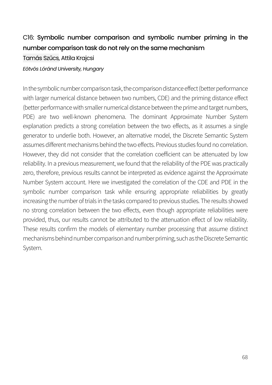## C16: Symbolic number comparison and symbolic number priming in the number comparison task do not rely on the same mechanism

Tamás Szűcs, Attila Krajcsi

*Eötvös Lóránd University, Hungary*

In the symbolic number comparison task, the comparison distance effect (better performance with larger numerical distance between two numbers, CDE) and the priming distance effect (better performance with smaller numerical distance between the prime and target numbers, PDE) are two well-known phenomena. The dominant Approximate Number System explanation predicts a strong correlation between the two effects, as it assumes a single generator to underlie both. However, an alternative model, the Discrete Semantic System assumes different mechanisms behind the two effects. Previous studies found no correlation. However, they did not consider that the correlation coefficient can be attenuated by low reliability. In a previous measurement, we found that the reliability of the PDE was practically zero, therefore, previous results cannot be interpreted as evidence against the Approximate Number System account. Here we investigated the correlation of the CDE and PDE in the symbolic number comparison task while ensuring appropriate reliabilities by greatly increasing the number of trials in the tasks compared to previous studies. The results showed no strong correlation between the two effects, even though appropriate reliabilities were provided, thus, our results cannot be attributed to the attenuation effect of low reliability. These results confirm the models of elementary number processing that assume distinct mechanisms behind number comparison and number priming, such as the Discrete Semantic System.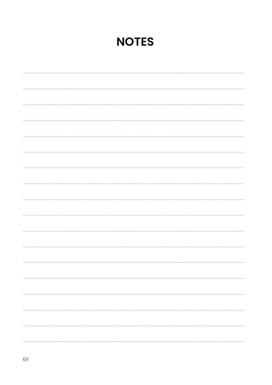## **NOTES**